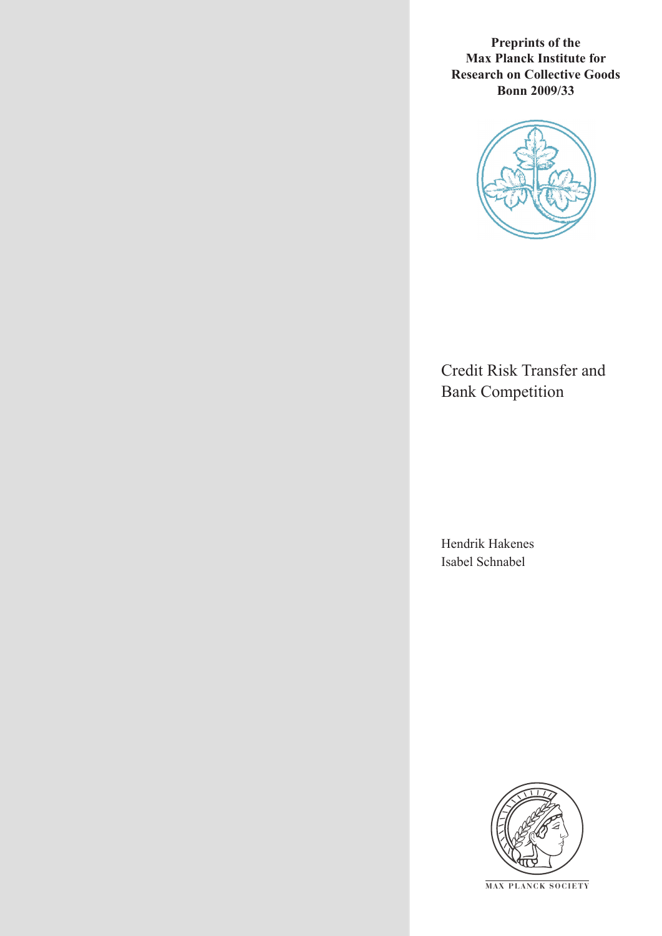**Preprints of the Max Planck Institute for Research on Collective Goods Bonn 2009/33**



# Credit Risk Transfer and Bank Competition

Hendrik Hakenes Isabel Schnabel



**M AX P L A N C K S O C I E T Y**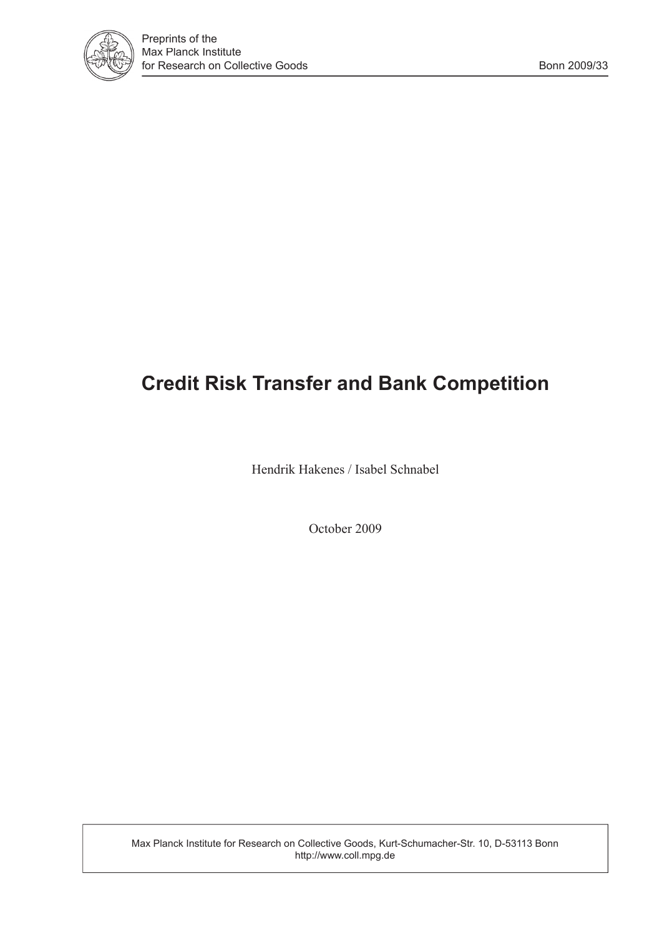

# **Credit Risk Transfer and Bank Competition**

Hendrik Hakenes / Isabel Schnabel

October 2009

Max Planck Institute for Research on Collective Goods, Kurt-Schumacher-Str. 10, D-53113 Bonn http://www.coll.mpg.de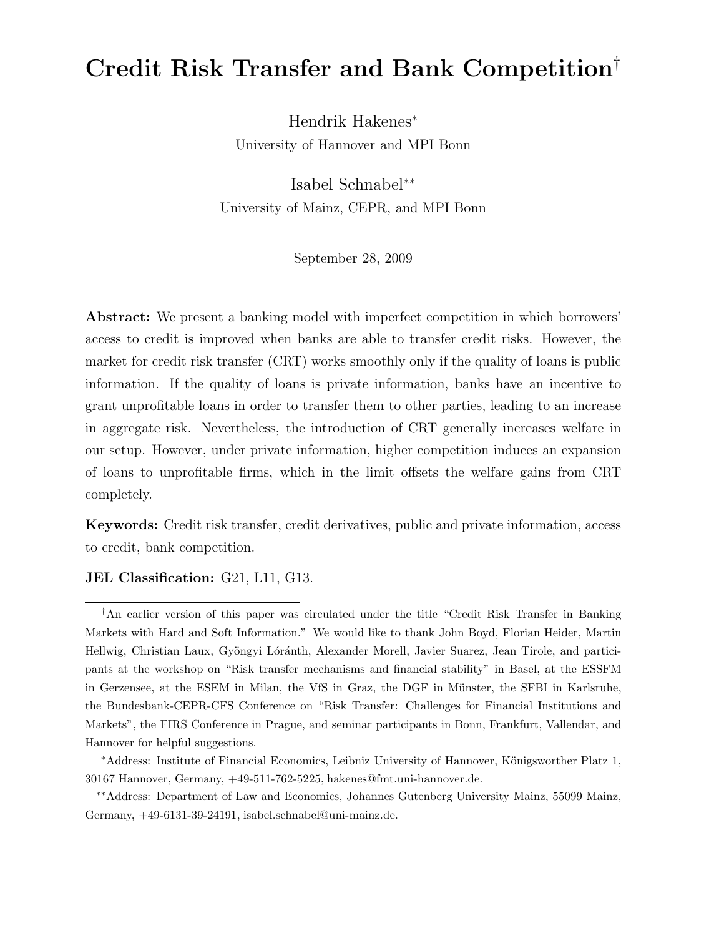# Credit Risk Transfer and Bank Competition†

Hendrik Hakenes<sup>∗</sup> University of Hannover and MPI Bonn

Isabel Schnabel∗∗ University of Mainz, CEPR, and MPI Bonn

September 28, 2009

Abstract: We present a banking model with imperfect competition in which borrowers' access to credit is improved when banks are able to transfer credit risks. However, the market for credit risk transfer (CRT) works smoothly only if the quality of loans is public information. If the quality of loans is private information, banks have an incentive to grant unprofitable loans in order to transfer them to other parties, leading to an increase in aggregate risk. Nevertheless, the introduction of CRT generally increases welfare in our setup. However, under private information, higher competition induces an expansion of loans to unprofitable firms, which in the limit offsets the welfare gains from CRT completely.

Keywords: Credit risk transfer, credit derivatives, public and private information, access to credit, bank competition.

#### JEL Classification: G21, L11, G13.

†An earlier version of this paper was circulated under the title "Credit Risk Transfer in Banking Markets with Hard and Soft Information." We would like to thank John Boyd, Florian Heider, Martin Hellwig, Christian Laux, Gyöngyi Lóránth, Alexander Morell, Javier Suarez, Jean Tirole, and participants at the workshop on "Risk transfer mechanisms and financial stability" in Basel, at the ESSFM in Gerzensee, at the ESEM in Milan, the VfS in Graz, the DGF in Münster, the SFBI in Karlsruhe, the Bundesbank-CEPR-CFS Conference on "Risk Transfer: Challenges for Financial Institutions and Markets", the FIRS Conference in Prague, and seminar participants in Bonn, Frankfurt, Vallendar, and Hannover for helpful suggestions.

<sup>∗</sup>Address: Institute of Financial Economics, Leibniz University of Hannover, K¨onigsworther Platz 1, 30167 Hannover, Germany, +49-511-762-5225, hakenes@fmt.uni-hannover.de.

∗∗Address: Department of Law and Economics, Johannes Gutenberg University Mainz, 55099 Mainz, Germany, +49-6131-39-24191, isabel.schnabel@uni-mainz.de.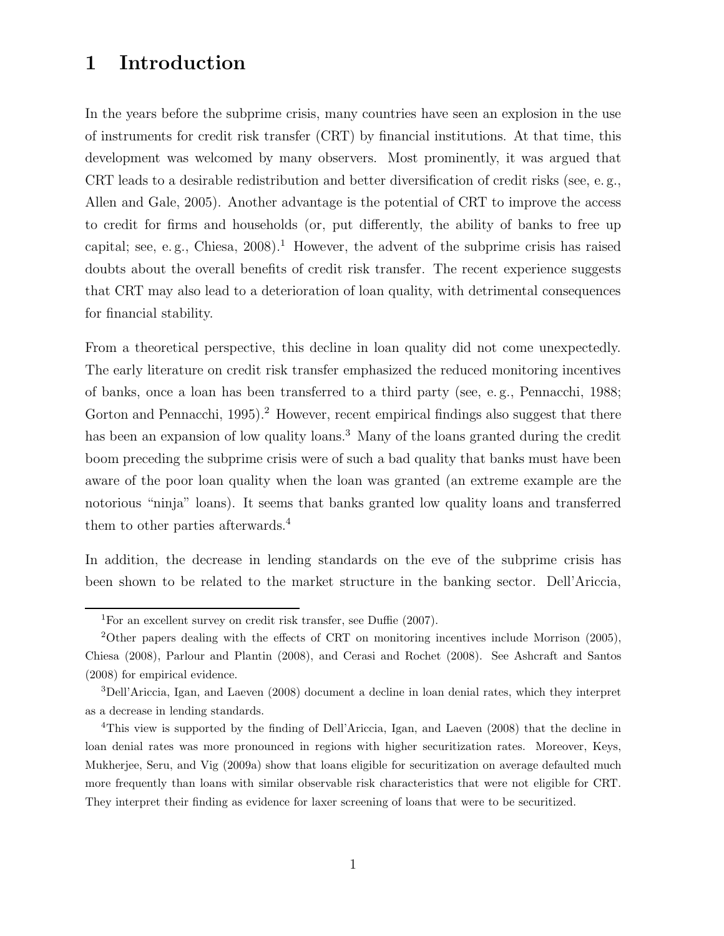# 1 Introduction

In the years before the subprime crisis, many countries have seen an explosion in the use of instruments for credit risk transfer (CRT) by financial institutions. At that time, this development was welcomed by many observers. Most prominently, it was argued that CRT leads to a desirable redistribution and better diversification of credit risks (see, e. g., Allen and Gale, 2005). Another advantage is the potential of CRT to improve the access to credit for firms and households (or, put differently, the ability of banks to free up capital; see, e.g., Chiesa,  $2008$ ).<sup>1</sup> However, the advent of the subprime crisis has raised doubts about the overall benefits of credit risk transfer. The recent experience suggests that CRT may also lead to a deterioration of loan quality, with detrimental consequences for financial stability.

From a theoretical perspective, this decline in loan quality did not come unexpectedly. The early literature on credit risk transfer emphasized the reduced monitoring incentives of banks, once a loan has been transferred to a third party (see, e. g., Pennacchi, 1988; Gorton and Pennacchi, 1995).<sup>2</sup> However, recent empirical findings also suggest that there has been an expansion of low quality loans.<sup>3</sup> Many of the loans granted during the credit boom preceding the subprime crisis were of such a bad quality that banks must have been aware of the poor loan quality when the loan was granted (an extreme example are the notorious "ninja" loans). It seems that banks granted low quality loans and transferred them to other parties afterwards.<sup>4</sup>

In addition, the decrease in lending standards on the eve of the subprime crisis has been shown to be related to the market structure in the banking sector. Dell'Ariccia,

<sup>&</sup>lt;sup>1</sup>For an excellent survey on credit risk transfer, see Duffie  $(2007)$ .

<sup>2</sup>Other papers dealing with the effects of CRT on monitoring incentives include Morrison (2005), Chiesa (2008), Parlour and Plantin (2008), and Cerasi and Rochet (2008). See Ashcraft and Santos (2008) for empirical evidence.

<sup>3</sup>Dell'Ariccia, Igan, and Laeven (2008) document a decline in loan denial rates, which they interpret as a decrease in lending standards.

<sup>4</sup>This view is supported by the finding of Dell'Ariccia, Igan, and Laeven (2008) that the decline in loan denial rates was more pronounced in regions with higher securitization rates. Moreover, Keys, Mukherjee, Seru, and Vig (2009a) show that loans eligible for securitization on average defaulted much more frequently than loans with similar observable risk characteristics that were not eligible for CRT. They interpret their finding as evidence for laxer screening of loans that were to be securitized.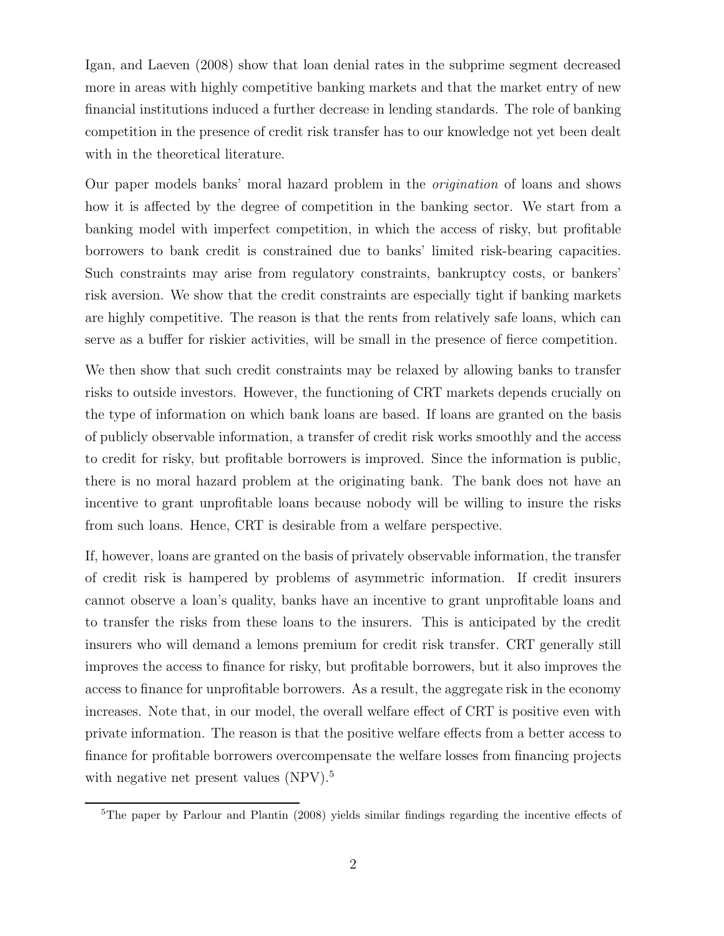Igan, and Laeven (2008) show that loan denial rates in the subprime segment decreased more in areas with highly competitive banking markets and that the market entry of new financial institutions induced a further decrease in lending standards. The role of banking competition in the presence of credit risk transfer has to our knowledge not yet been dealt with in the theoretical literature.

Our paper models banks' moral hazard problem in the origination of loans and shows how it is affected by the degree of competition in the banking sector. We start from a banking model with imperfect competition, in which the access of risky, but profitable borrowers to bank credit is constrained due to banks' limited risk-bearing capacities. Such constraints may arise from regulatory constraints, bankruptcy costs, or bankers' risk aversion. We show that the credit constraints are especially tight if banking markets are highly competitive. The reason is that the rents from relatively safe loans, which can serve as a buffer for riskier activities, will be small in the presence of fierce competition.

We then show that such credit constraints may be relaxed by allowing banks to transfer risks to outside investors. However, the functioning of CRT markets depends crucially on the type of information on which bank loans are based. If loans are granted on the basis of publicly observable information, a transfer of credit risk works smoothly and the access to credit for risky, but profitable borrowers is improved. Since the information is public, there is no moral hazard problem at the originating bank. The bank does not have an incentive to grant unprofitable loans because nobody will be willing to insure the risks from such loans. Hence, CRT is desirable from a welfare perspective.

If, however, loans are granted on the basis of privately observable information, the transfer of credit risk is hampered by problems of asymmetric information. If credit insurers cannot observe a loan's quality, banks have an incentive to grant unprofitable loans and to transfer the risks from these loans to the insurers. This is anticipated by the credit insurers who will demand a lemons premium for credit risk transfer. CRT generally still improves the access to finance for risky, but profitable borrowers, but it also improves the access to finance for unprofitable borrowers. As a result, the aggregate risk in the economy increases. Note that, in our model, the overall welfare effect of CRT is positive even with private information. The reason is that the positive welfare effects from a better access to finance for profitable borrowers overcompensate the welfare losses from financing projects with negative net present values (NPV).<sup>5</sup>

<sup>&</sup>lt;sup>5</sup>The paper by Parlour and Plantin (2008) yields similar findings regarding the incentive effects of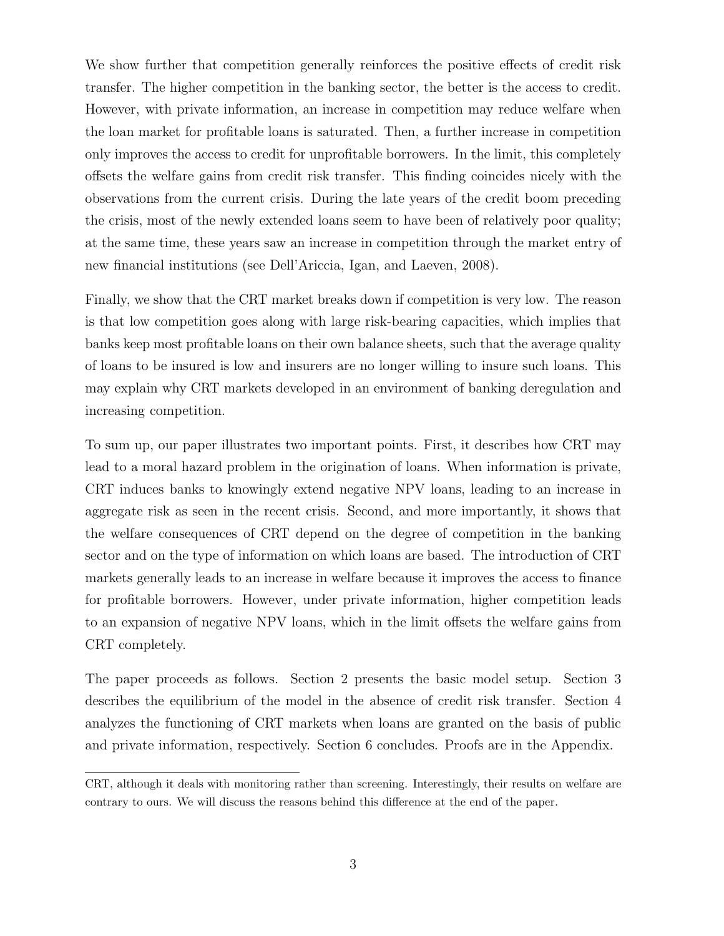We show further that competition generally reinforces the positive effects of credit risk transfer. The higher competition in the banking sector, the better is the access to credit. However, with private information, an increase in competition may reduce welfare when the loan market for profitable loans is saturated. Then, a further increase in competition only improves the access to credit for unprofitable borrowers. In the limit, this completely offsets the welfare gains from credit risk transfer. This finding coincides nicely with the observations from the current crisis. During the late years of the credit boom preceding the crisis, most of the newly extended loans seem to have been of relatively poor quality; at the same time, these years saw an increase in competition through the market entry of new financial institutions (see Dell'Ariccia, Igan, and Laeven, 2008).

Finally, we show that the CRT market breaks down if competition is very low. The reason is that low competition goes along with large risk-bearing capacities, which implies that banks keep most profitable loans on their own balance sheets, such that the average quality of loans to be insured is low and insurers are no longer willing to insure such loans. This may explain why CRT markets developed in an environment of banking deregulation and increasing competition.

To sum up, our paper illustrates two important points. First, it describes how CRT may lead to a moral hazard problem in the origination of loans. When information is private, CRT induces banks to knowingly extend negative NPV loans, leading to an increase in aggregate risk as seen in the recent crisis. Second, and more importantly, it shows that the welfare consequences of CRT depend on the degree of competition in the banking sector and on the type of information on which loans are based. The introduction of CRT markets generally leads to an increase in welfare because it improves the access to finance for profitable borrowers. However, under private information, higher competition leads to an expansion of negative NPV loans, which in the limit offsets the welfare gains from CRT completely.

The paper proceeds as follows. Section 2 presents the basic model setup. Section 3 describes the equilibrium of the model in the absence of credit risk transfer. Section 4 analyzes the functioning of CRT markets when loans are granted on the basis of public and private information, respectively. Section 6 concludes. Proofs are in the Appendix.

CRT, although it deals with monitoring rather than screening. Interestingly, their results on welfare are contrary to ours. We will discuss the reasons behind this difference at the end of the paper.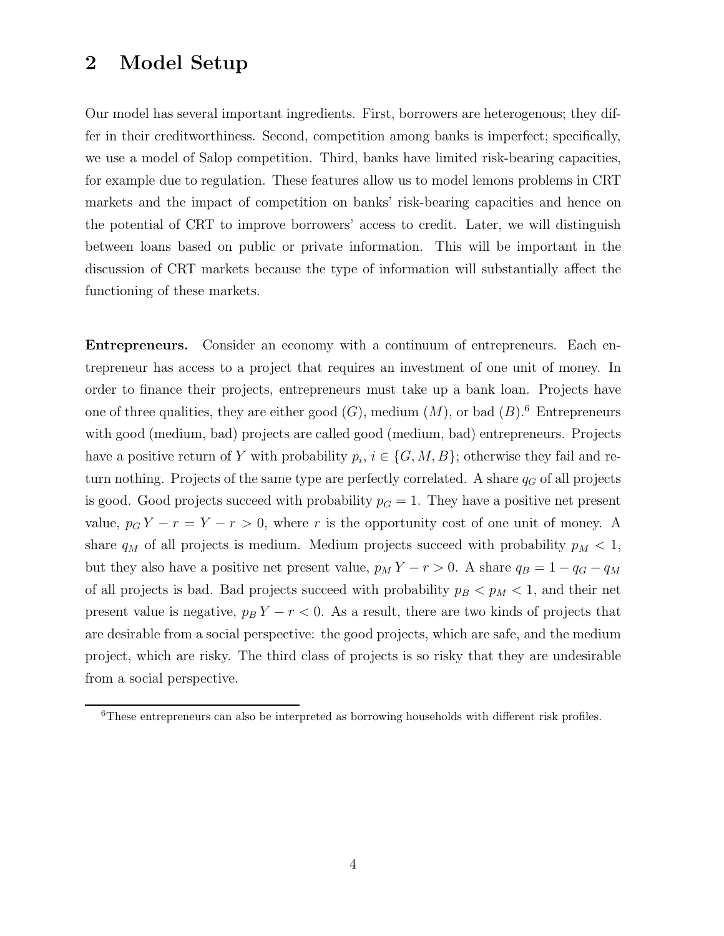### 2 Model Setup

Our model has several important ingredients. First, borrowers are heterogenous; they differ in their creditworthiness. Second, competition among banks is imperfect; specifically, we use a model of Salop competition. Third, banks have limited risk-bearing capacities, for example due to regulation. These features allow us to model lemons problems in CRT markets and the impact of competition on banks' risk-bearing capacities and hence on the potential of CRT to improve borrowers' access to credit. Later, we will distinguish between loans based on public or private information. This will be important in the discussion of CRT markets because the type of information will substantially affect the functioning of these markets.

Entrepreneurs. Consider an economy with a continuum of entrepreneurs. Each entrepreneur has access to a project that requires an investment of one unit of money. In order to finance their projects, entrepreneurs must take up a bank loan. Projects have one of three qualities, they are either good  $(G)$ , medium  $(M)$ , or bad  $(B)$ .<sup>6</sup> Entrepreneurs with good (medium, bad) projects are called good (medium, bad) entrepreneurs. Projects have a positive return of Y with probability  $p_i, i \in \{G, M, B\}$ ; otherwise they fail and return nothing. Projects of the same type are perfectly correlated. A share  $q_G$  of all projects is good. Good projects succeed with probability  $p<sub>G</sub> = 1$ . They have a positive net present value,  $p<sub>G</sub> Y - r = Y - r > 0$ , where r is the opportunity cost of one unit of money. A share  $q_M$  of all projects is medium. Medium projects succeed with probability  $p_M < 1$ , but they also have a positive net present value,  $p_M Y - r > 0$ . A share  $q_B = 1 - q_G - q_M$ of all projects is bad. Bad projects succeed with probability  $p_B < p_M < 1$ , and their net present value is negative,  $p_B Y - r < 0$ . As a result, there are two kinds of projects that are desirable from a social perspective: the good projects, which are safe, and the medium project, which are risky. The third class of projects is so risky that they are undesirable from a social perspective.

<sup>6</sup>These entrepreneurs can also be interpreted as borrowing households with different risk profiles.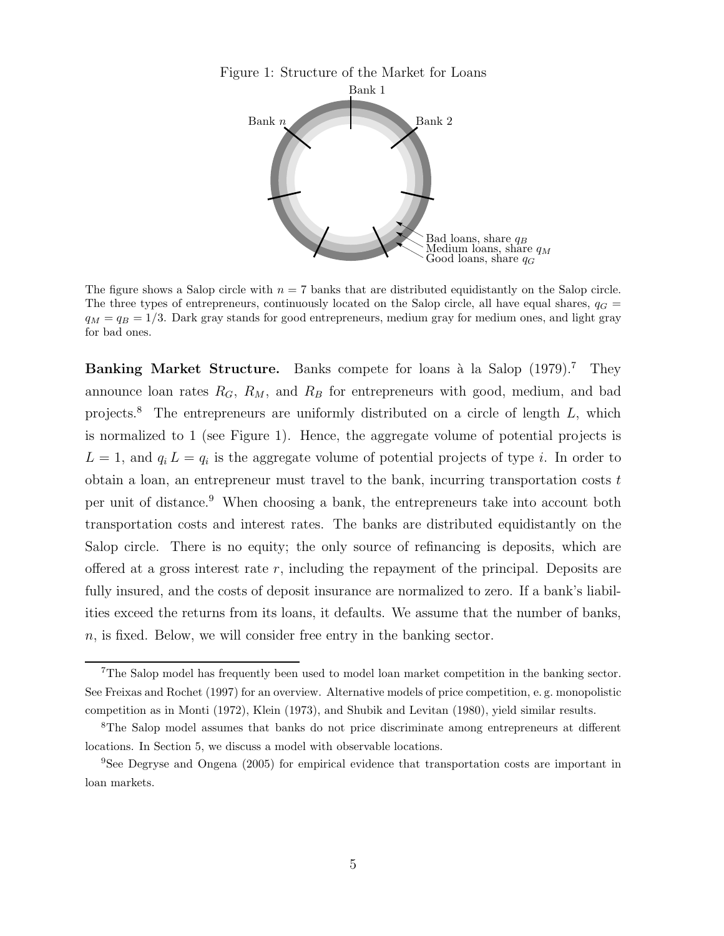

The figure shows a Salop circle with  $n = 7$  banks that are distributed equidistantly on the Salop circle. The three types of entrepreneurs, continuously located on the Salop circle, all have equal shares,  $q_G$  =  $q_M = q_B = 1/3$ . Dark gray stands for good entrepreneurs, medium gray for medium ones, and light gray for bad ones.

Banking Market Structure. Banks compete for loans à la Salop (1979).<sup>7</sup> They announce loan rates  $R_G$ ,  $R_M$ , and  $R_B$  for entrepreneurs with good, medium, and bad projects.<sup>8</sup> The entrepreneurs are uniformly distributed on a circle of length L, which is normalized to 1 (see Figure 1). Hence, the aggregate volume of potential projects is  $L = 1$ , and  $q_i L = q_i$  is the aggregate volume of potential projects of type *i*. In order to obtain a loan, an entrepreneur must travel to the bank, incurring transportation costs  $t$ per unit of distance.<sup>9</sup> When choosing a bank, the entrepreneurs take into account both transportation costs and interest rates. The banks are distributed equidistantly on the Salop circle. There is no equity; the only source of refinancing is deposits, which are offered at a gross interest rate  $r$ , including the repayment of the principal. Deposits are fully insured, and the costs of deposit insurance are normalized to zero. If a bank's liabilities exceed the returns from its loans, it defaults. We assume that the number of banks,  $n$ , is fixed. Below, we will consider free entry in the banking sector.

<sup>7</sup>The Salop model has frequently been used to model loan market competition in the banking sector. See Freixas and Rochet (1997) for an overview. Alternative models of price competition, e. g. monopolistic competition as in Monti (1972), Klein (1973), and Shubik and Levitan (1980), yield similar results.

<sup>8</sup>The Salop model assumes that banks do not price discriminate among entrepreneurs at different locations. In Section 5, we discuss a model with observable locations.

<sup>9</sup>See Degryse and Ongena (2005) for empirical evidence that transportation costs are important in loan markets.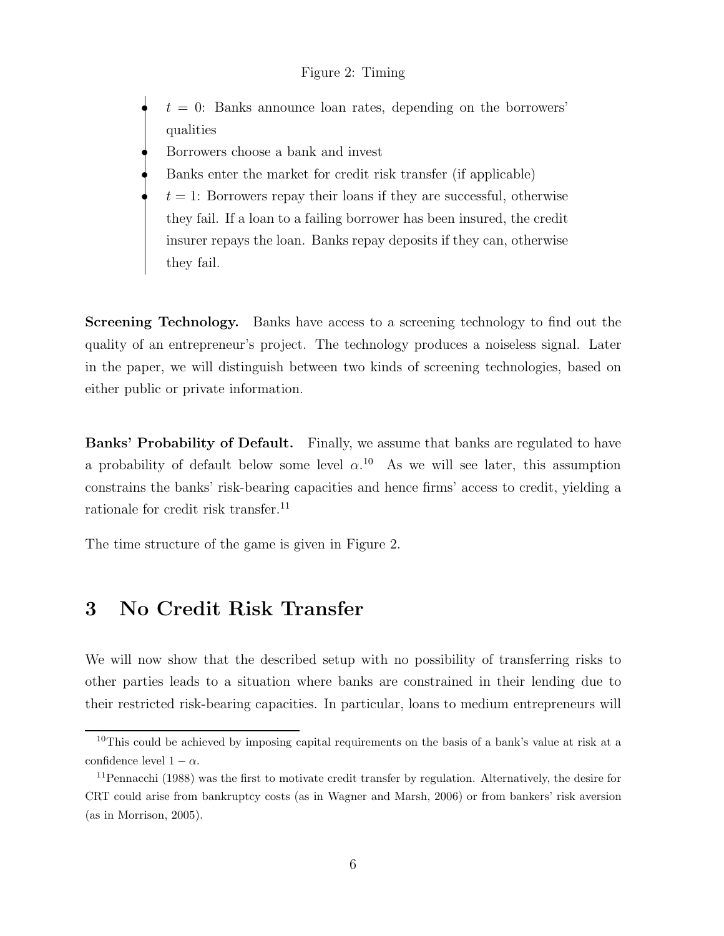- $t = 0$ : Banks announce loan rates, depending on the borrowers' qualities
- Borrowers choose a bank and invest
- Banks enter the market for credit risk transfer (if applicable)
- $t = 1$ : Borrowers repay their loans if they are successful, otherwise they fail. If a loan to a failing borrower has been insured, the credit insurer repays the loan. Banks repay deposits if they can, otherwise they fail.

Screening Technology. Banks have access to a screening technology to find out the quality of an entrepreneur's project. The technology produces a noiseless signal. Later in the paper, we will distinguish between two kinds of screening technologies, based on either public or private information.

Banks' Probability of Default. Finally, we assume that banks are regulated to have a probability of default below some level  $\alpha$ <sup>10</sup> As we will see later, this assumption constrains the banks' risk-bearing capacities and hence firms' access to credit, yielding a rationale for credit risk transfer.<sup>11</sup>

The time structure of the game is given in Figure 2.

### 3 No Credit Risk Transfer

We will now show that the described setup with no possibility of transferring risks to other parties leads to a situation where banks are constrained in their lending due to their restricted risk-bearing capacities. In particular, loans to medium entrepreneurs will

<sup>&</sup>lt;sup>10</sup>This could be achieved by imposing capital requirements on the basis of a bank's value at risk at a confidence level  $1 - \alpha$ .

<sup>11</sup>Pennacchi (1988) was the first to motivate credit transfer by regulation. Alternatively, the desire for CRT could arise from bankruptcy costs (as in Wagner and Marsh, 2006) or from bankers' risk aversion (as in Morrison, 2005).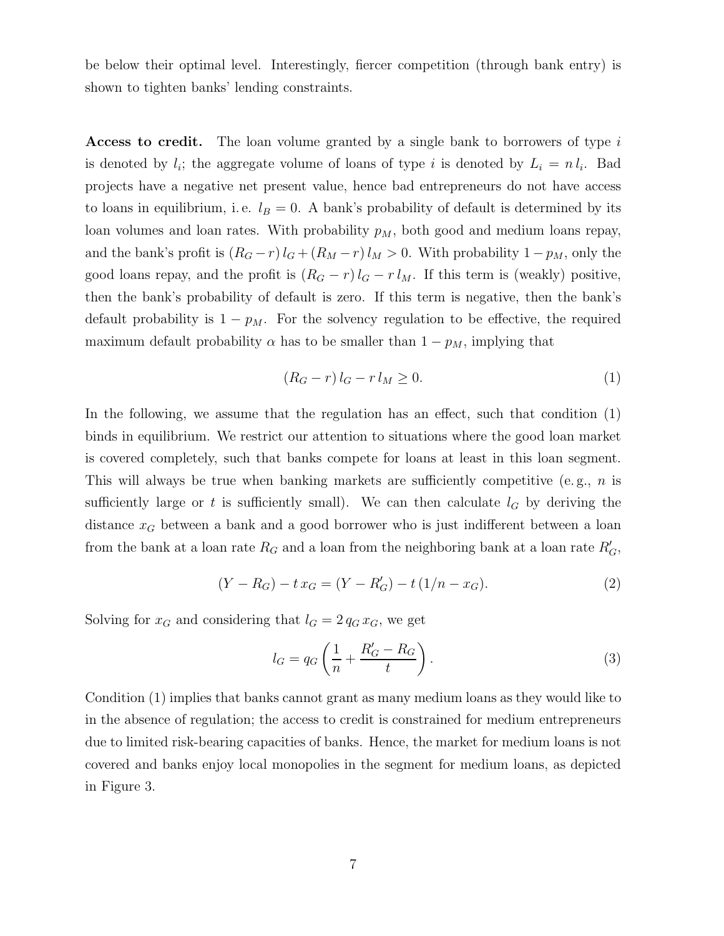be below their optimal level. Interestingly, fiercer competition (through bank entry) is shown to tighten banks' lending constraints.

Access to credit. The loan volume granted by a single bank to borrowers of type i is denoted by  $l_i$ ; the aggregate volume of loans of type i is denoted by  $L_i = n l_i$ . Bad projects have a negative net present value, hence bad entrepreneurs do not have access to loans in equilibrium, i.e.  $l_B = 0$ . A bank's probability of default is determined by its loan volumes and loan rates. With probability  $p_M$ , both good and medium loans repay, and the bank's profit is  $(R_G - r)l_G + (R_M - r)l_M > 0$ . With probability  $1 - p_M$ , only the good loans repay, and the profit is  $(R_G - r)l_G - r l_M$ . If this term is (weakly) positive, then the bank's probability of default is zero. If this term is negative, then the bank's default probability is  $1 - p_M$ . For the solvency regulation to be effective, the required maximum default probability  $\alpha$  has to be smaller than  $1 - p_M$ , implying that

$$
(R_G - r) l_G - r l_M \ge 0.
$$
\n<sup>(1)</sup>

In the following, we assume that the regulation has an effect, such that condition (1) binds in equilibrium. We restrict our attention to situations where the good loan market is covered completely, such that banks compete for loans at least in this loan segment. This will always be true when banking markets are sufficiently competitive (e.g.,  $n$  is sufficiently large or t is sufficiently small). We can then calculate  $l_G$  by deriving the distance  $x_G$  between a bank and a good borrower who is just indifferent between a loan from the bank at a loan rate  $R_G$  and a loan from the neighboring bank at a loan rate  $R'_{G}$ ,

$$
(Y - R_G) - t x_G = (Y - R'_G) - t (1/n - x_G). \tag{2}
$$

Solving for  $x_G$  and considering that  $l_G = 2 q_G x_G$ , we get

$$
l_G = q_G \left(\frac{1}{n} + \frac{R'_G - R_G}{t}\right). \tag{3}
$$

Condition (1) implies that banks cannot grant as many medium loans as they would like to in the absence of regulation; the access to credit is constrained for medium entrepreneurs due to limited risk-bearing capacities of banks. Hence, the market for medium loans is not covered and banks enjoy local monopolies in the segment for medium loans, as depicted in Figure 3.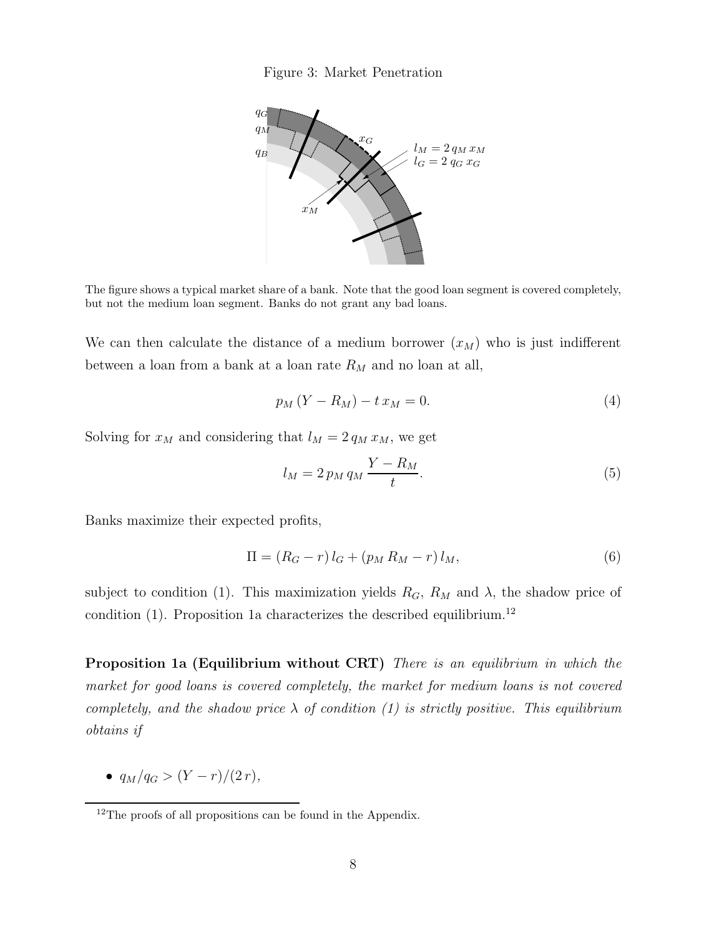

The figure shows a typical market share of a bank. Note that the good loan segment is covered completely, but not the medium loan segment. Banks do not grant any bad loans.

We can then calculate the distance of a medium borrower  $(x_M)$  who is just indifferent between a loan from a bank at a loan rate  $R_M$  and no loan at all,

$$
p_M(Y - R_M) - t x_M = 0.
$$
\n(4)

Solving for  $x_M$  and considering that  $l_M = 2 q_M x_M$ , we get

$$
l_M = 2 p_M q_M \frac{Y - R_M}{t}.\tag{5}
$$

Banks maximize their expected profits,

$$
\Pi = (R_G - r) l_G + (p_M R_M - r) l_M,
$$
\n(6)

subject to condition (1). This maximization yields  $R_G$ ,  $R_M$  and  $\lambda$ , the shadow price of condition  $(1)$ . Proposition 1a characterizes the described equilibrium.<sup>12</sup>

Proposition 1a (Equilibrium without CRT) There is an equilibrium in which the market for good loans is covered completely, the market for medium loans is not covered completely, and the shadow price  $\lambda$  of condition (1) is strictly positive. This equilibrium obtains if

•  $q_M/q_G > (Y - r)/(2 r)$ ,

<sup>&</sup>lt;sup>12</sup>The proofs of all propositions can be found in the Appendix.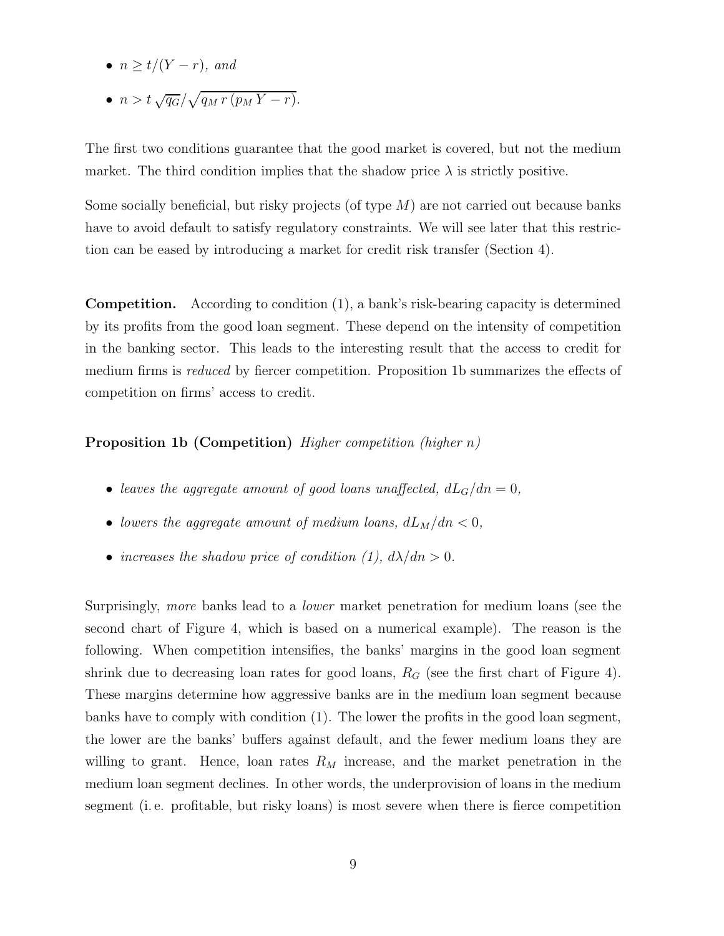- $n \ge t/(Y r)$ , and
- $n > t \sqrt{q_G}/\sqrt{q_M r (p_M Y r)}$ .

The first two conditions guarantee that the good market is covered, but not the medium market. The third condition implies that the shadow price  $\lambda$  is strictly positive.

Some socially beneficial, but risky projects (of type  $M$ ) are not carried out because banks have to avoid default to satisfy regulatory constraints. We will see later that this restriction can be eased by introducing a market for credit risk transfer (Section 4).

Competition. According to condition (1), a bank's risk-bearing capacity is determined by its profits from the good loan segment. These depend on the intensity of competition in the banking sector. This leads to the interesting result that the access to credit for medium firms is reduced by fiercer competition. Proposition 1b summarizes the effects of competition on firms' access to credit.

#### Proposition 1b (Competition) Higher competition (higher n)

- leaves the aggregate amount of good loans unaffected,  $dL_G/dn = 0$ ,
- lowers the aggregate amount of medium loans,  $dL_M/dn < 0$ ,
- increases the shadow price of condition (1),  $d\lambda/dn > 0$ .

Surprisingly, more banks lead to a lower market penetration for medium loans (see the second chart of Figure 4, which is based on a numerical example). The reason is the following. When competition intensifies, the banks' margins in the good loan segment shrink due to decreasing loan rates for good loans,  $R_G$  (see the first chart of Figure 4). These margins determine how aggressive banks are in the medium loan segment because banks have to comply with condition (1). The lower the profits in the good loan segment, the lower are the banks' buffers against default, and the fewer medium loans they are willing to grant. Hence, loan rates  $R_M$  increase, and the market penetration in the medium loan segment declines. In other words, the underprovision of loans in the medium segment (i. e. profitable, but risky loans) is most severe when there is fierce competition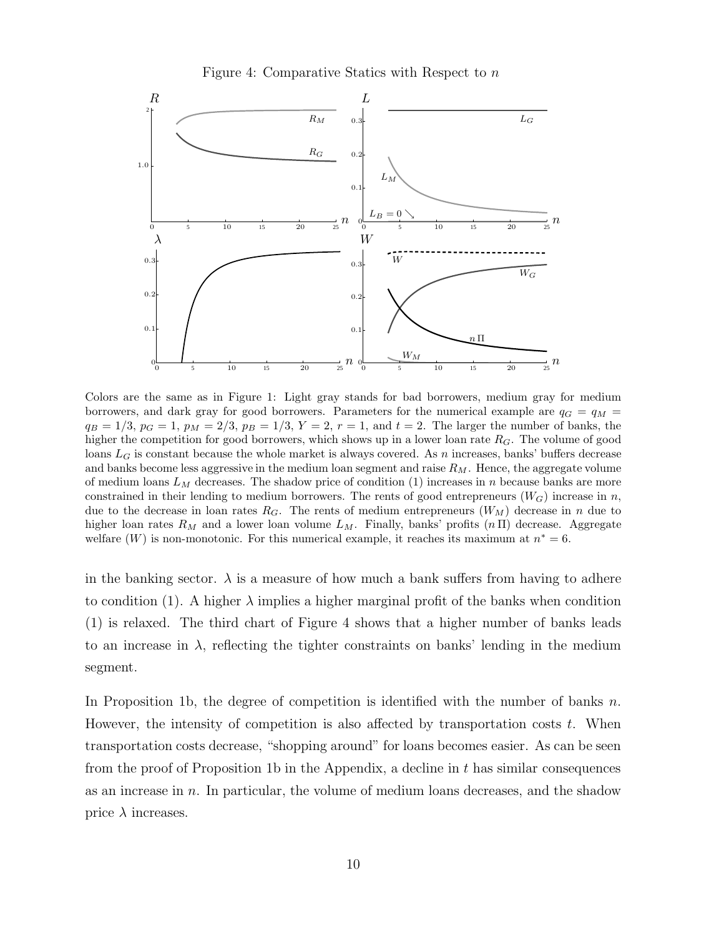Figure 4: Comparative Statics with Respect to n



Colors are the same as in Figure 1: Light gray stands for bad borrowers, medium gray for medium borrowers, and dark gray for good borrowers. Parameters for the numerical example are  $q_G = q_M$  $q_B = 1/3$ ,  $p_G = 1$ ,  $p_M = 2/3$ ,  $p_B = 1/3$ ,  $Y = 2$ ,  $r = 1$ , and  $t = 2$ . The larger the number of banks, the higher the competition for good borrowers, which shows up in a lower loan rate  $R_G$ . The volume of good loans  $L_G$  is constant because the whole market is always covered. As n increases, banks' buffers decrease and banks become less aggressive in the medium loan segment and raise  $R_M$ . Hence, the aggregate volume of medium loans  $L_M$  decreases. The shadow price of condition (1) increases in n because banks are more constrained in their lending to medium borrowers. The rents of good entrepreneurs  $(W_G)$  increase in n, due to the decrease in loan rates  $R_G$ . The rents of medium entrepreneurs  $(W_M)$  decrease in n due to higher loan rates  $R_M$  and a lower loan volume  $L_M$ . Finally, banks' profits  $(n \Pi)$  decrease. Aggregate welfare  $(W)$  is non-monotonic. For this numerical example, it reaches its maximum at  $n^* = 6$ .

in the banking sector.  $\lambda$  is a measure of how much a bank suffers from having to adhere to condition (1). A higher  $\lambda$  implies a higher marginal profit of the banks when condition (1) is relaxed. The third chart of Figure 4 shows that a higher number of banks leads to an increase in  $\lambda$ , reflecting the tighter constraints on banks' lending in the medium segment.

In Proposition 1b, the degree of competition is identified with the number of banks  $n$ . However, the intensity of competition is also affected by transportation costs  $t$ . When transportation costs decrease, "shopping around" for loans becomes easier. As can be seen from the proof of Proposition 1b in the Appendix, a decline in  $t$  has similar consequences as an increase in  $n$ . In particular, the volume of medium loans decreases, and the shadow price  $\lambda$  increases.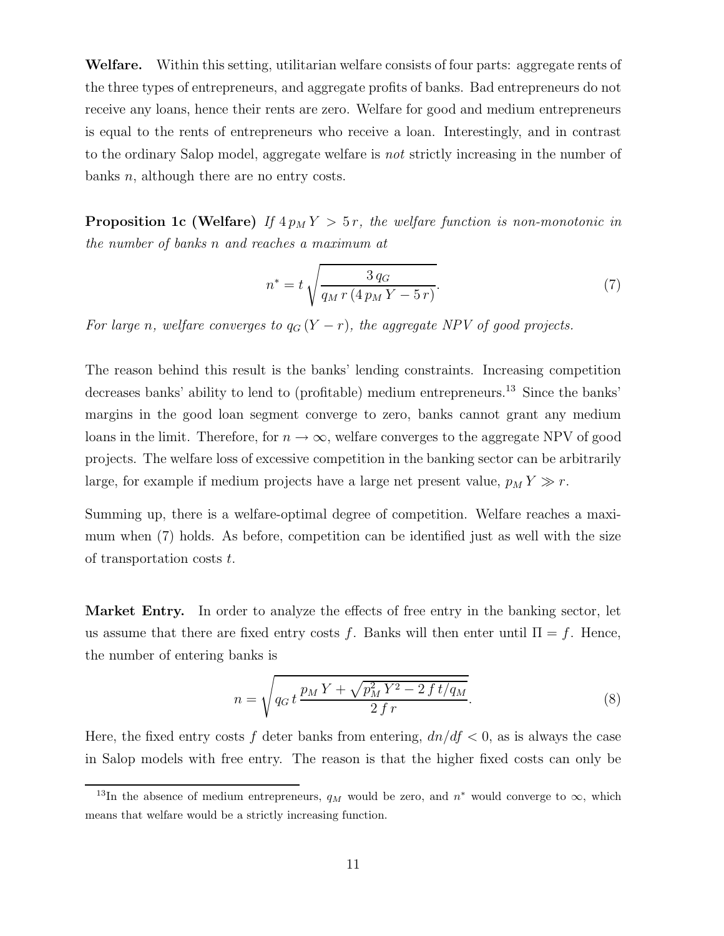Welfare. Within this setting, utilitarian welfare consists of four parts: aggregate rents of the three types of entrepreneurs, and aggregate profits of banks. Bad entrepreneurs do not receive any loans, hence their rents are zero. Welfare for good and medium entrepreneurs is equal to the rents of entrepreneurs who receive a loan. Interestingly, and in contrast to the ordinary Salop model, aggregate welfare is not strictly increasing in the number of banks *n*, although there are no entry costs.

**Proposition 1c (Welfare)** If  $4 p_M Y > 5 r$ , the welfare function is non-monotonic in the number of banks n and reaches a maximum at

$$
n^* = t \sqrt{\frac{3 q_G}{q_M r (4 p_M Y - 5 r)}}.
$$
\n(7)

For large n, welfare converges to  $q_G(Y - r)$ , the aggregate NPV of good projects.

The reason behind this result is the banks' lending constraints. Increasing competition decreases banks' ability to lend to (profitable) medium entrepreneurs.<sup>13</sup> Since the banks' margins in the good loan segment converge to zero, banks cannot grant any medium loans in the limit. Therefore, for  $n \to \infty$ , welfare converges to the aggregate NPV of good projects. The welfare loss of excessive competition in the banking sector can be arbitrarily large, for example if medium projects have a large net present value,  $p_M Y \gg r$ .

Summing up, there is a welfare-optimal degree of competition. Welfare reaches a maximum when (7) holds. As before, competition can be identified just as well with the size of transportation costs t.

Market Entry. In order to analyze the effects of free entry in the banking sector, let us assume that there are fixed entry costs f. Banks will then enter until  $\Pi = f$ . Hence, the number of entering banks is

$$
n = \sqrt{q_G t \frac{p_M Y + \sqrt{p_M^2 Y^2 - 2 f t / q_M}}{2 f r}}.
$$
\n(8)

Here, the fixed entry costs f deter banks from entering,  $dn/df < 0$ , as is always the case in Salop models with free entry. The reason is that the higher fixed costs can only be

<sup>&</sup>lt;sup>13</sup>In the absence of medium entrepreneurs,  $q_M$  would be zero, and  $n^*$  would converge to  $\infty$ , which means that welfare would be a strictly increasing function.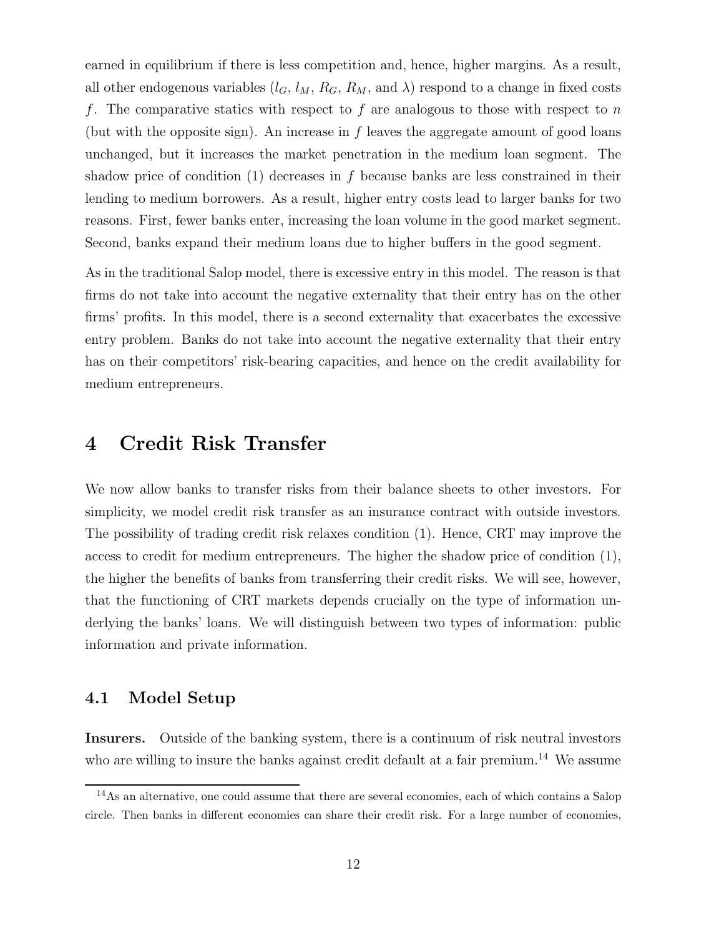earned in equilibrium if there is less competition and, hence, higher margins. As a result, all other endogenous variables  $(l_G, l_M, R_G, R_M, \text{ and } \lambda)$  respond to a change in fixed costs f. The comparative statics with respect to f are analogous to those with respect to n (but with the opposite sign). An increase in  $f$  leaves the aggregate amount of good loans unchanged, but it increases the market penetration in the medium loan segment. The shadow price of condition (1) decreases in f because banks are less constrained in their lending to medium borrowers. As a result, higher entry costs lead to larger banks for two reasons. First, fewer banks enter, increasing the loan volume in the good market segment. Second, banks expand their medium loans due to higher buffers in the good segment.

As in the traditional Salop model, there is excessive entry in this model. The reason is that firms do not take into account the negative externality that their entry has on the other firms' profits. In this model, there is a second externality that exacerbates the excessive entry problem. Banks do not take into account the negative externality that their entry has on their competitors' risk-bearing capacities, and hence on the credit availability for medium entrepreneurs.

### 4 Credit Risk Transfer

We now allow banks to transfer risks from their balance sheets to other investors. For simplicity, we model credit risk transfer as an insurance contract with outside investors. The possibility of trading credit risk relaxes condition (1). Hence, CRT may improve the access to credit for medium entrepreneurs. The higher the shadow price of condition (1), the higher the benefits of banks from transferring their credit risks. We will see, however, that the functioning of CRT markets depends crucially on the type of information underlying the banks' loans. We will distinguish between two types of information: public information and private information.

#### 4.1 Model Setup

Insurers. Outside of the banking system, there is a continuum of risk neutral investors who are willing to insure the banks against credit default at a fair premium.<sup>14</sup> We assume

<sup>14</sup>As an alternative, one could assume that there are several economies, each of which contains a Salop circle. Then banks in different economies can share their credit risk. For a large number of economies,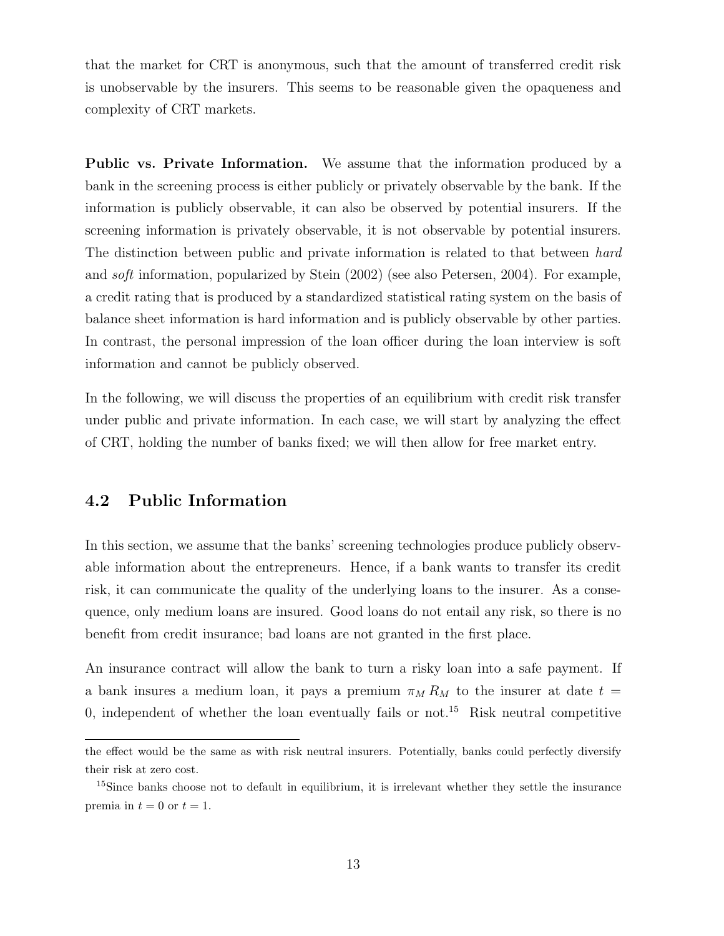that the market for CRT is anonymous, such that the amount of transferred credit risk is unobservable by the insurers. This seems to be reasonable given the opaqueness and complexity of CRT markets.

Public vs. Private Information. We assume that the information produced by a bank in the screening process is either publicly or privately observable by the bank. If the information is publicly observable, it can also be observed by potential insurers. If the screening information is privately observable, it is not observable by potential insurers. The distinction between public and private information is related to that between hard and soft information, popularized by Stein (2002) (see also Petersen, 2004). For example, a credit rating that is produced by a standardized statistical rating system on the basis of balance sheet information is hard information and is publicly observable by other parties. In contrast, the personal impression of the loan officer during the loan interview is soft information and cannot be publicly observed.

In the following, we will discuss the properties of an equilibrium with credit risk transfer under public and private information. In each case, we will start by analyzing the effect of CRT, holding the number of banks fixed; we will then allow for free market entry.

### 4.2 Public Information

In this section, we assume that the banks' screening technologies produce publicly observable information about the entrepreneurs. Hence, if a bank wants to transfer its credit risk, it can communicate the quality of the underlying loans to the insurer. As a consequence, only medium loans are insured. Good loans do not entail any risk, so there is no benefit from credit insurance; bad loans are not granted in the first place.

An insurance contract will allow the bank to turn a risky loan into a safe payment. If a bank insures a medium loan, it pays a premium  $\pi_M R_M$  to the insurer at date  $t =$ 0, independent of whether the loan eventually fails or not.<sup>15</sup> Risk neutral competitive

the effect would be the same as with risk neutral insurers. Potentially, banks could perfectly diversify their risk at zero cost.

<sup>&</sup>lt;sup>15</sup>Since banks choose not to default in equilibrium, it is irrelevant whether they settle the insurance premia in  $t = 0$  or  $t = 1$ .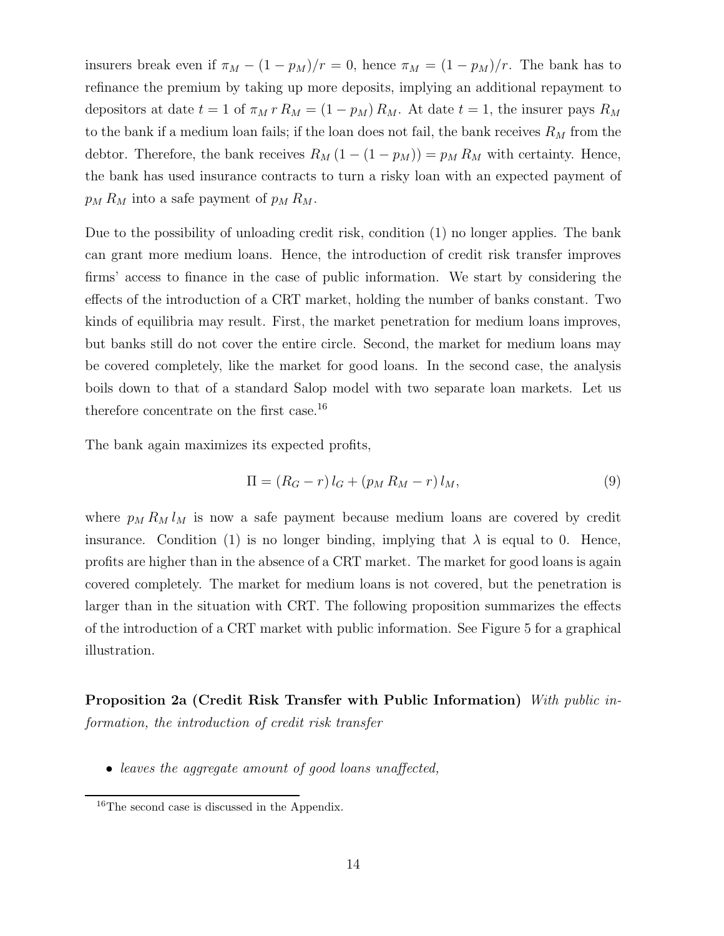insurers break even if  $\pi_M - (1 - p_M)/r = 0$ , hence  $\pi_M = (1 - p_M)/r$ . The bank has to refinance the premium by taking up more deposits, implying an additional repayment to depositors at date  $t = 1$  of  $\pi_M r R_M = (1 - p_M) R_M$ . At date  $t = 1$ , the insurer pays  $R_M$ to the bank if a medium loan fails; if the loan does not fail, the bank receives  $R_M$  from the debtor. Therefore, the bank receives  $R_M (1 - (1 - p_M)) = p_M R_M$  with certainty. Hence, the bank has used insurance contracts to turn a risky loan with an expected payment of  $p_M R_M$  into a safe payment of  $p_M R_M$ .

Due to the possibility of unloading credit risk, condition (1) no longer applies. The bank can grant more medium loans. Hence, the introduction of credit risk transfer improves firms' access to finance in the case of public information. We start by considering the effects of the introduction of a CRT market, holding the number of banks constant. Two kinds of equilibria may result. First, the market penetration for medium loans improves, but banks still do not cover the entire circle. Second, the market for medium loans may be covered completely, like the market for good loans. In the second case, the analysis boils down to that of a standard Salop model with two separate loan markets. Let us therefore concentrate on the first case.<sup>16</sup>

The bank again maximizes its expected profits,

$$
\Pi = (R_G - r) l_G + (p_M R_M - r) l_M,
$$
\n(9)

where  $p_M R_M l_M$  is now a safe payment because medium loans are covered by credit insurance. Condition (1) is no longer binding, implying that  $\lambda$  is equal to 0. Hence, profits are higher than in the absence of a CRT market. The market for good loans is again covered completely. The market for medium loans is not covered, but the penetration is larger than in the situation with CRT. The following proposition summarizes the effects of the introduction of a CRT market with public information. See Figure 5 for a graphical illustration.

Proposition 2a (Credit Risk Transfer with Public Information) With public information, the introduction of credit risk transfer

• leaves the aggregate amount of good loans unaffected,

<sup>16</sup>The second case is discussed in the Appendix.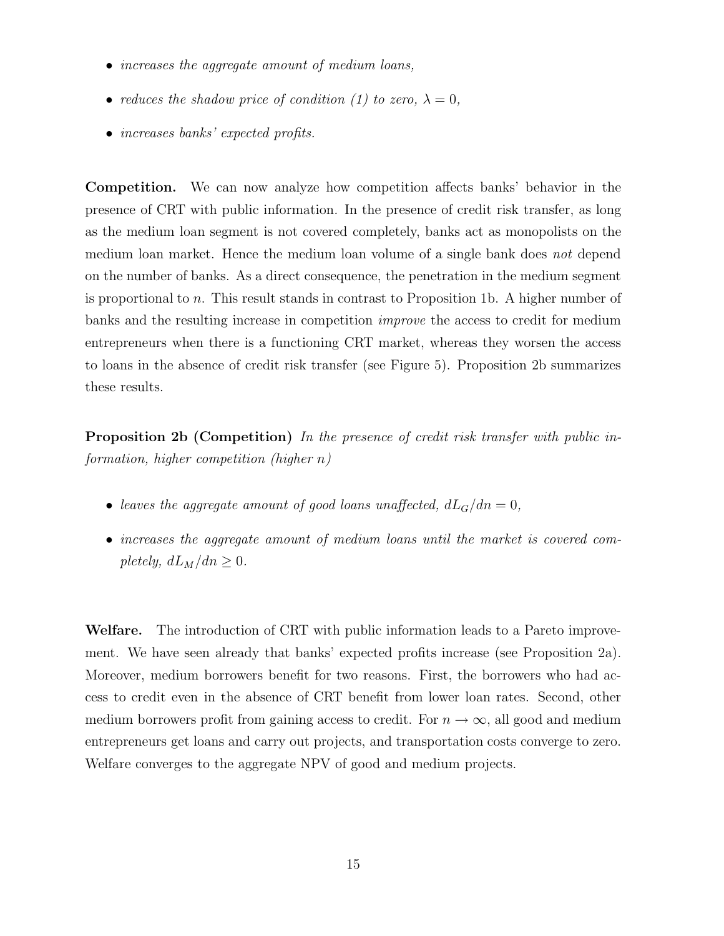- increases the aggregate amount of medium loans,
- reduces the shadow price of condition (1) to zero,  $\lambda = 0$ ,
- increases banks' expected profits.

Competition. We can now analyze how competition affects banks' behavior in the presence of CRT with public information. In the presence of credit risk transfer, as long as the medium loan segment is not covered completely, banks act as monopolists on the medium loan market. Hence the medium loan volume of a single bank does not depend on the number of banks. As a direct consequence, the penetration in the medium segment is proportional to n. This result stands in contrast to Proposition 1b. A higher number of banks and the resulting increase in competition improve the access to credit for medium entrepreneurs when there is a functioning CRT market, whereas they worsen the access to loans in the absence of credit risk transfer (see Figure 5). Proposition 2b summarizes these results.

Proposition 2b (Competition) In the presence of credit risk transfer with public information, higher competition (higher n)

- leaves the aggregate amount of good loans unaffected,  $dL_G/dn = 0$ ,
- increases the aggregate amount of medium loans until the market is covered completely,  $dL_M/dn \geq 0$ .

Welfare. The introduction of CRT with public information leads to a Pareto improvement. We have seen already that banks' expected profits increase (see Proposition 2a). Moreover, medium borrowers benefit for two reasons. First, the borrowers who had access to credit even in the absence of CRT benefit from lower loan rates. Second, other medium borrowers profit from gaining access to credit. For  $n \to \infty$ , all good and medium entrepreneurs get loans and carry out projects, and transportation costs converge to zero. Welfare converges to the aggregate NPV of good and medium projects.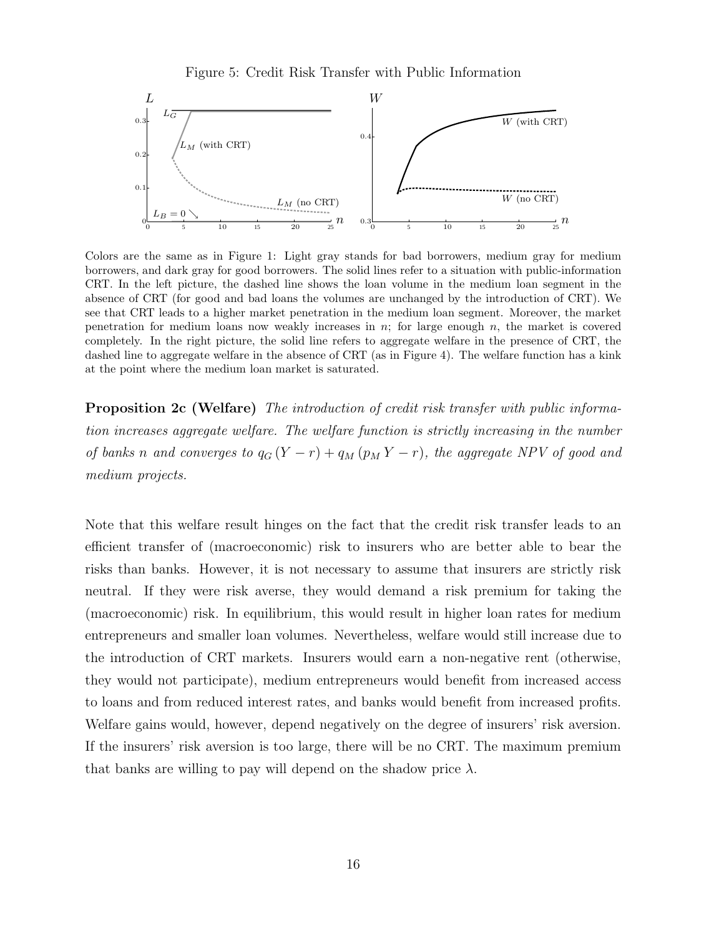Figure 5: Credit Risk Transfer with Public Information



Colors are the same as in Figure 1: Light gray stands for bad borrowers, medium gray for medium borrowers, and dark gray for good borrowers. The solid lines refer to a situation with public-information CRT. In the left picture, the dashed line shows the loan volume in the medium loan segment in the absence of CRT (for good and bad loans the volumes are unchanged by the introduction of CRT). We see that CRT leads to a higher market penetration in the medium loan segment. Moreover, the market penetration for medium loans now weakly increases in  $n$ ; for large enough  $n$ , the market is covered completely. In the right picture, the solid line refers to aggregate welfare in the presence of CRT, the dashed line to aggregate welfare in the absence of CRT (as in Figure 4). The welfare function has a kink at the point where the medium loan market is saturated.

Proposition 2c (Welfare) The introduction of credit risk transfer with public information increases aggregate welfare. The welfare function is strictly increasing in the number of banks n and converges to  $q_G(Y - r) + q_M(p_M Y - r)$ , the aggregate NPV of good and medium projects.

Note that this welfare result hinges on the fact that the credit risk transfer leads to an efficient transfer of (macroeconomic) risk to insurers who are better able to bear the risks than banks. However, it is not necessary to assume that insurers are strictly risk neutral. If they were risk averse, they would demand a risk premium for taking the (macroeconomic) risk. In equilibrium, this would result in higher loan rates for medium entrepreneurs and smaller loan volumes. Nevertheless, welfare would still increase due to the introduction of CRT markets. Insurers would earn a non-negative rent (otherwise, they would not participate), medium entrepreneurs would benefit from increased access to loans and from reduced interest rates, and banks would benefit from increased profits. Welfare gains would, however, depend negatively on the degree of insurers' risk aversion. If the insurers' risk aversion is too large, there will be no CRT. The maximum premium that banks are willing to pay will depend on the shadow price  $\lambda$ .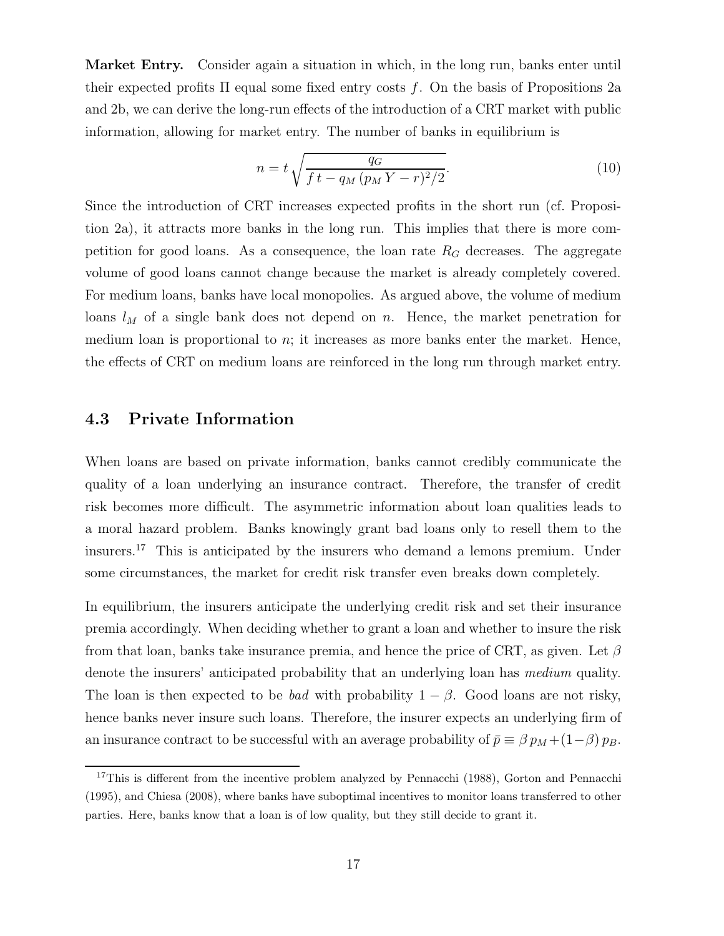Market Entry. Consider again a situation in which, in the long run, banks enter until their expected profits  $\Pi$  equal some fixed entry costs f. On the basis of Propositions 2a and 2b, we can derive the long-run effects of the introduction of a CRT market with public information, allowing for market entry. The number of banks in equilibrium is

$$
n = t \sqrt{\frac{q_G}{f t - q_M (p_M Y - r)^2 / 2}}.
$$
\n(10)

Since the introduction of CRT increases expected profits in the short run (cf. Proposition 2a), it attracts more banks in the long run. This implies that there is more competition for good loans. As a consequence, the loan rate  $R_G$  decreases. The aggregate volume of good loans cannot change because the market is already completely covered. For medium loans, banks have local monopolies. As argued above, the volume of medium loans  $l_M$  of a single bank does not depend on n. Hence, the market penetration for medium loan is proportional to  $n$ ; it increases as more banks enter the market. Hence, the effects of CRT on medium loans are reinforced in the long run through market entry.

### 4.3 Private Information

When loans are based on private information, banks cannot credibly communicate the quality of a loan underlying an insurance contract. Therefore, the transfer of credit risk becomes more difficult. The asymmetric information about loan qualities leads to a moral hazard problem. Banks knowingly grant bad loans only to resell them to the insurers.<sup>17</sup> This is anticipated by the insurers who demand a lemons premium. Under some circumstances, the market for credit risk transfer even breaks down completely.

In equilibrium, the insurers anticipate the underlying credit risk and set their insurance premia accordingly. When deciding whether to grant a loan and whether to insure the risk from that loan, banks take insurance premia, and hence the price of CRT, as given. Let  $\beta$ denote the insurers' anticipated probability that an underlying loan has medium quality. The loan is then expected to be *bad* with probability  $1 - \beta$ . Good loans are not risky, hence banks never insure such loans. Therefore, the insurer expects an underlying firm of an insurance contract to be successful with an average probability of  $\bar{p} \equiv \beta p_M + (1-\beta) p_B$ .

<sup>&</sup>lt;sup>17</sup>This is different from the incentive problem analyzed by Pennacchi (1988), Gorton and Pennacchi (1995), and Chiesa (2008), where banks have suboptimal incentives to monitor loans transferred to other parties. Here, banks know that a loan is of low quality, but they still decide to grant it.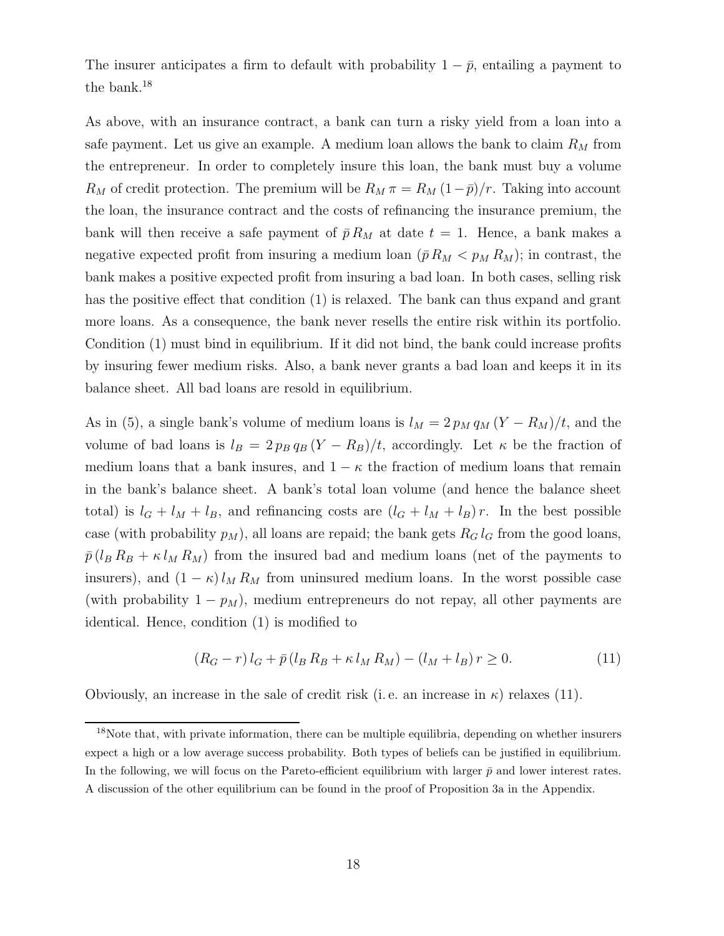The insurer anticipates a firm to default with probability  $1 - \bar{p}$ , entailing a payment to the bank.<sup>18</sup>

As above, with an insurance contract, a bank can turn a risky yield from a loan into a safe payment. Let us give an example. A medium loan allows the bank to claim  $R_M$  from the entrepreneur. In order to completely insure this loan, the bank must buy a volume  $R_M$  of credit protection. The premium will be  $R_M \pi = R_M (1-\bar{p})/r$ . Taking into account the loan, the insurance contract and the costs of refinancing the insurance premium, the bank will then receive a safe payment of  $\bar{p} R_M$  at date  $t = 1$ . Hence, a bank makes a negative expected profit from insuring a medium loan  $(\bar{p} R_M < p_M R_M)$ ; in contrast, the bank makes a positive expected profit from insuring a bad loan. In both cases, selling risk has the positive effect that condition (1) is relaxed. The bank can thus expand and grant more loans. As a consequence, the bank never resells the entire risk within its portfolio. Condition (1) must bind in equilibrium. If it did not bind, the bank could increase profits by insuring fewer medium risks. Also, a bank never grants a bad loan and keeps it in its balance sheet. All bad loans are resold in equilibrium.

As in (5), a single bank's volume of medium loans is  $l_M = 2 p_M q_M (Y - R_M)/t$ , and the volume of bad loans is  $l_B = 2 p_B q_B (Y - R_B)/t$ , accordingly. Let  $\kappa$  be the fraction of medium loans that a bank insures, and  $1 - \kappa$  the fraction of medium loans that remain in the bank's balance sheet. A bank's total loan volume (and hence the balance sheet total) is  $l_G + l_M + l_B$ , and refinancing costs are  $(l_G + l_M + l_B)r$ . In the best possible case (with probability  $p_M$ ), all loans are repaid; the bank gets  $R_G l_G$  from the good loans,  $\bar{p}(l_B R_B + \kappa l_M R_M)$  from the insured bad and medium loans (net of the payments to insurers), and  $(1 - \kappa) l_M R_M$  from uninsured medium loans. In the worst possible case (with probability  $1 - p_M$ ), medium entrepreneurs do not repay, all other payments are identical. Hence, condition (1) is modified to

$$
(R_G - r) l_G + \bar{p} (l_B R_B + \kappa l_M R_M) - (l_M + l_B) r \ge 0.
$$
 (11)

Obviously, an increase in the sale of credit risk (i.e. an increase in  $\kappa$ ) relaxes (11).

<sup>&</sup>lt;sup>18</sup>Note that, with private information, there can be multiple equilibria, depending on whether insurers expect a high or a low average success probability. Both types of beliefs can be justified in equilibrium. In the following, we will focus on the Pareto-efficient equilibrium with larger  $\bar{p}$  and lower interest rates. A discussion of the other equilibrium can be found in the proof of Proposition 3a in the Appendix.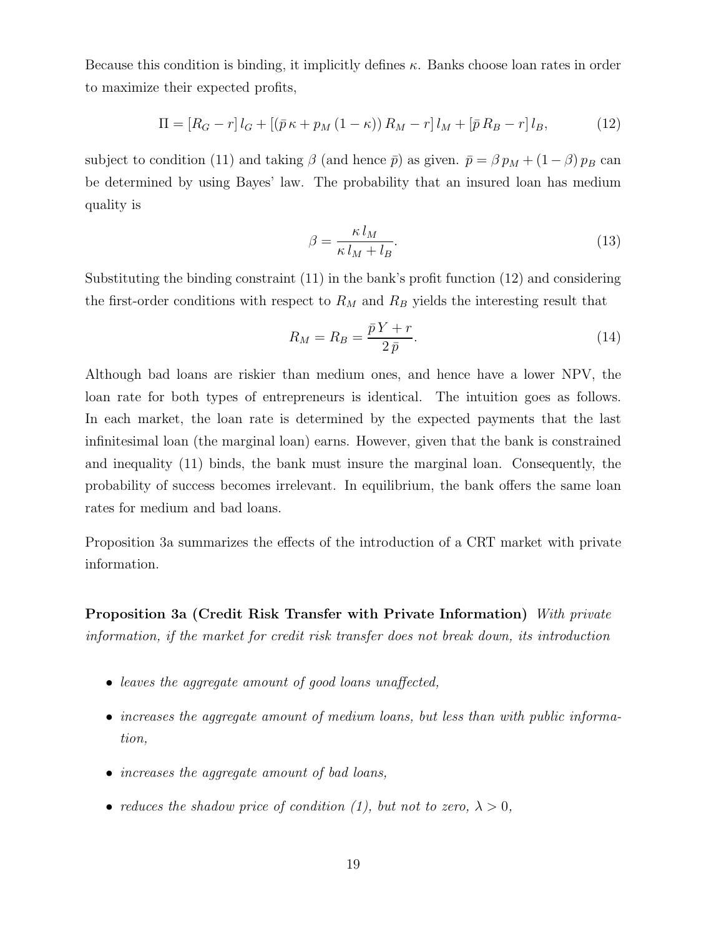Because this condition is binding, it implicitly defines  $\kappa$ . Banks choose loan rates in order to maximize their expected profits,

$$
\Pi = [R_G - r] l_G + [(\bar{p}\kappa + p_M(1 - \kappa)) R_M - r] l_M + [\bar{p} R_B - r] l_B,
$$
\n(12)

subject to condition (11) and taking  $\beta$  (and hence  $\bar{p}$ ) as given.  $\bar{p} = \beta p_M + (1 - \beta) p_B$  can be determined by using Bayes' law. The probability that an insured loan has medium quality is

$$
\beta = \frac{\kappa \, l_M}{\kappa \, l_M + l_B}.\tag{13}
$$

Substituting the binding constraint (11) in the bank's profit function (12) and considering the first-order conditions with respect to  $R_M$  and  $R_B$  yields the interesting result that

$$
R_M = R_B = \frac{\bar{p}Y + r}{2\bar{p}}.\tag{14}
$$

Although bad loans are riskier than medium ones, and hence have a lower NPV, the loan rate for both types of entrepreneurs is identical. The intuition goes as follows. In each market, the loan rate is determined by the expected payments that the last infinitesimal loan (the marginal loan) earns. However, given that the bank is constrained and inequality (11) binds, the bank must insure the marginal loan. Consequently, the probability of success becomes irrelevant. In equilibrium, the bank offers the same loan rates for medium and bad loans.

Proposition 3a summarizes the effects of the introduction of a CRT market with private information.

Proposition 3a (Credit Risk Transfer with Private Information) With private information, if the market for credit risk transfer does not break down, its introduction

- leaves the aggregate amount of good loans unaffected,
- increases the aggregate amount of medium loans, but less than with public information,
- increases the aggregate amount of bad loans,
- reduces the shadow price of condition (1), but not to zero,  $\lambda > 0$ ,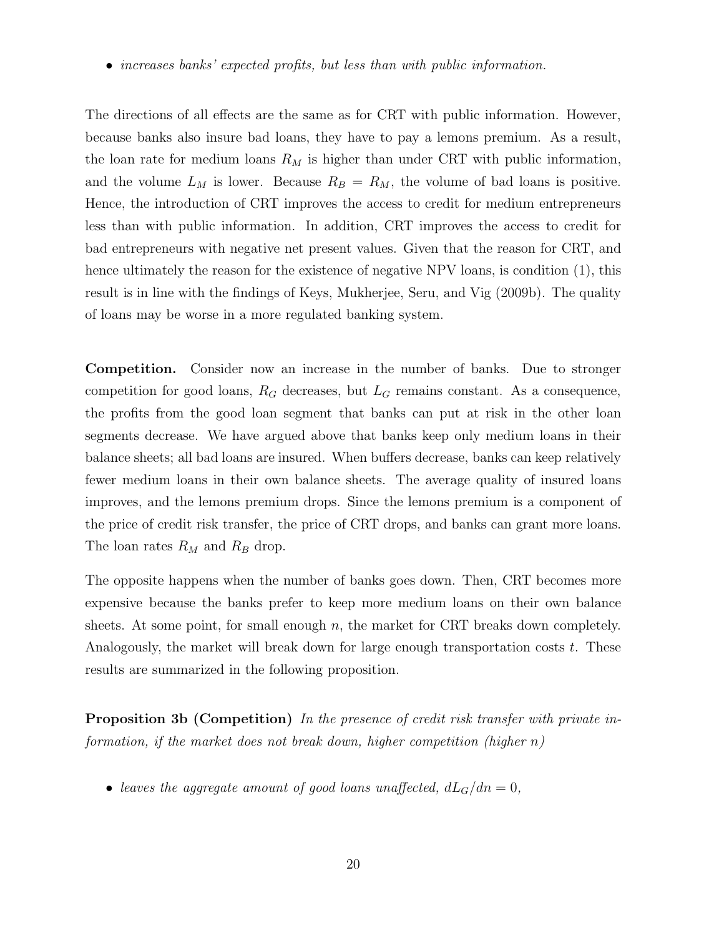• increases banks' expected profits, but less than with public information.

The directions of all effects are the same as for CRT with public information. However, because banks also insure bad loans, they have to pay a lemons premium. As a result, the loan rate for medium loans  $R_M$  is higher than under CRT with public information, and the volume  $L_M$  is lower. Because  $R_B = R_M$ , the volume of bad loans is positive. Hence, the introduction of CRT improves the access to credit for medium entrepreneurs less than with public information. In addition, CRT improves the access to credit for bad entrepreneurs with negative net present values. Given that the reason for CRT, and hence ultimately the reason for the existence of negative NPV loans, is condition (1), this result is in line with the findings of Keys, Mukherjee, Seru, and Vig (2009b). The quality of loans may be worse in a more regulated banking system.

Competition. Consider now an increase in the number of banks. Due to stronger competition for good loans,  $R_G$  decreases, but  $L_G$  remains constant. As a consequence, the profits from the good loan segment that banks can put at risk in the other loan segments decrease. We have argued above that banks keep only medium loans in their balance sheets; all bad loans are insured. When buffers decrease, banks can keep relatively fewer medium loans in their own balance sheets. The average quality of insured loans improves, and the lemons premium drops. Since the lemons premium is a component of the price of credit risk transfer, the price of CRT drops, and banks can grant more loans. The loan rates  $R_M$  and  $R_B$  drop.

The opposite happens when the number of banks goes down. Then, CRT becomes more expensive because the banks prefer to keep more medium loans on their own balance sheets. At some point, for small enough  $n$ , the market for CRT breaks down completely. Analogously, the market will break down for large enough transportation costs t. These results are summarized in the following proposition.

Proposition 3b (Competition) In the presence of credit risk transfer with private information, if the market does not break down, higher competition (higher  $n$ )

• leaves the aggregate amount of good loans unaffected,  $dL_G/dn = 0$ ,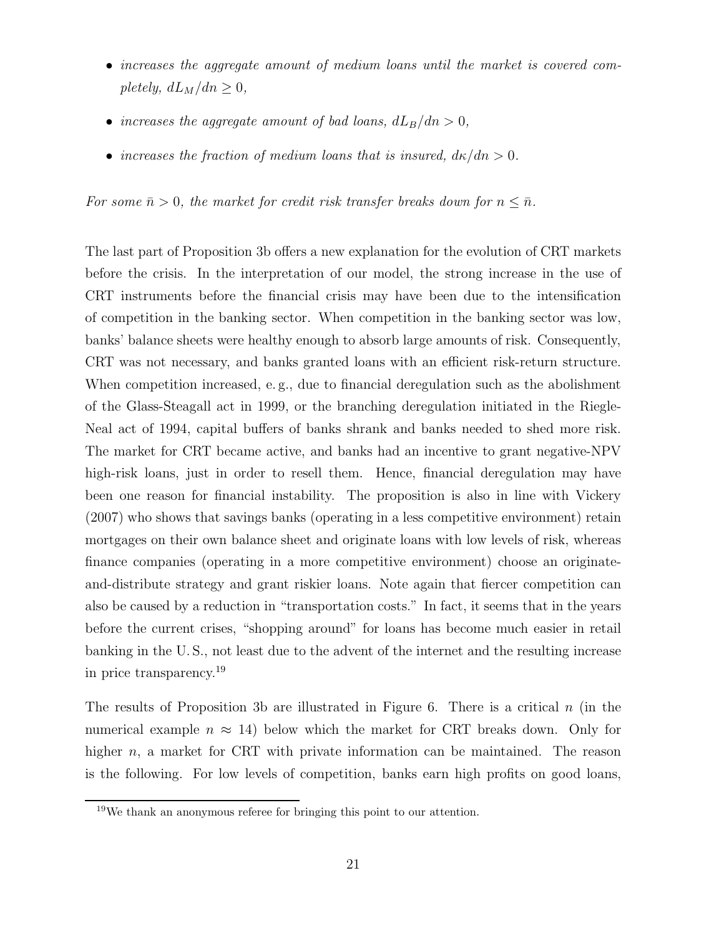- increases the aggregate amount of medium loans until the market is covered completely,  $dL_M/dn \geq 0$ ,
- increases the aggregate amount of bad loans,  $dL_B/dn > 0$ ,
- increases the fraction of medium loans that is insured,  $d\kappa/dn > 0$ .

For some  $\bar{n} > 0$ , the market for credit risk transfer breaks down for  $n \leq \bar{n}$ .

The last part of Proposition 3b offers a new explanation for the evolution of CRT markets before the crisis. In the interpretation of our model, the strong increase in the use of CRT instruments before the financial crisis may have been due to the intensification of competition in the banking sector. When competition in the banking sector was low, banks' balance sheets were healthy enough to absorb large amounts of risk. Consequently, CRT was not necessary, and banks granted loans with an efficient risk-return structure. When competition increased, e.g., due to financial deregulation such as the abolishment of the Glass-Steagall act in 1999, or the branching deregulation initiated in the Riegle-Neal act of 1994, capital buffers of banks shrank and banks needed to shed more risk. The market for CRT became active, and banks had an incentive to grant negative-NPV high-risk loans, just in order to resell them. Hence, financial deregulation may have been one reason for financial instability. The proposition is also in line with Vickery (2007) who shows that savings banks (operating in a less competitive environment) retain mortgages on their own balance sheet and originate loans with low levels of risk, whereas finance companies (operating in a more competitive environment) choose an originateand-distribute strategy and grant riskier loans. Note again that fiercer competition can also be caused by a reduction in "transportation costs." In fact, it seems that in the years before the current crises, "shopping around" for loans has become much easier in retail banking in the U. S., not least due to the advent of the internet and the resulting increase in price transparency.<sup>19</sup>

The results of Proposition 3b are illustrated in Figure 6. There is a critical  $n$  (in the numerical example  $n \approx 14$ ) below which the market for CRT breaks down. Only for higher n, a market for CRT with private information can be maintained. The reason is the following. For low levels of competition, banks earn high profits on good loans,

<sup>19</sup>We thank an anonymous referee for bringing this point to our attention.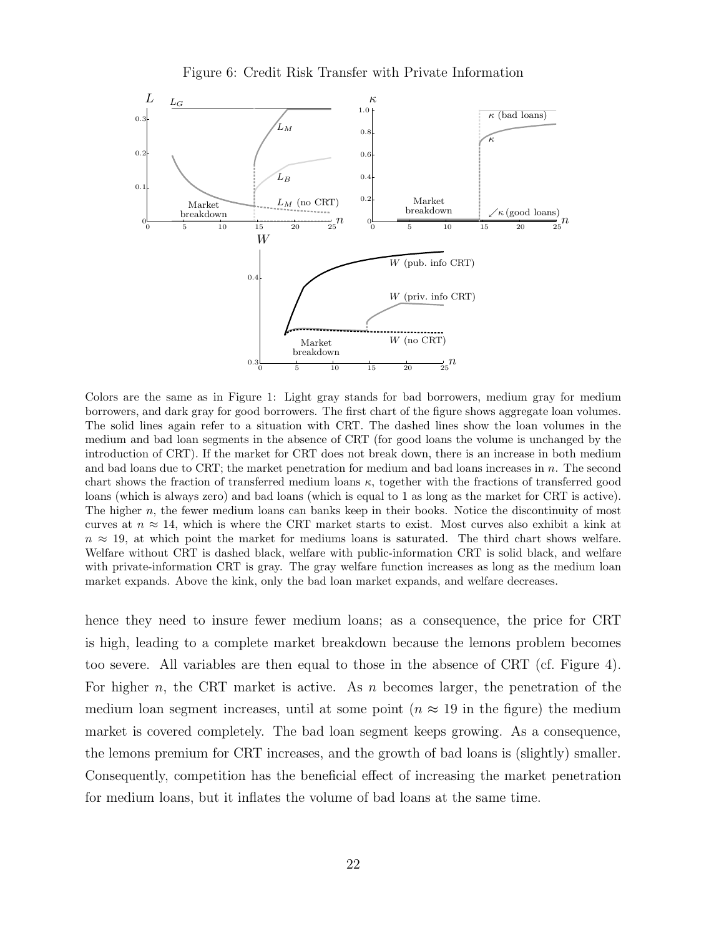

 $\eta$ 

Figure 6: Credit Risk Transfer with Private Information

Colors are the same as in Figure 1: Light gray stands for bad borrowers, medium gray for medium borrowers, and dark gray for good borrowers. The first chart of the figure shows aggregate loan volumes. The solid lines again refer to a situation with CRT. The dashed lines show the loan volumes in the medium and bad loan segments in the absence of CRT (for good loans the volume is unchanged by the introduction of CRT). If the market for CRT does not break down, there is an increase in both medium and bad loans due to CRT; the market penetration for medium and bad loans increases in  $n$ . The second chart shows the fraction of transferred medium loans  $\kappa$ , together with the fractions of transferred good loans (which is always zero) and bad loans (which is equal to 1 as long as the market for CRT is active). The higher n, the fewer medium loans can banks keep in their books. Notice the discontinuity of most curves at  $n \approx 14$ , which is where the CRT market starts to exist. Most curves also exhibit a kink at  $n \approx 19$ , at which point the market for mediums loans is saturated. The third chart shows welfare. Welfare without CRT is dashed black, welfare with public-information CRT is solid black, and welfare with private-information CRT is gray. The gray welfare function increases as long as the medium loan market expands. Above the kink, only the bad loan market expands, and welfare decreases.

0 5 10 15 20 25

Market breakdown

 $\frac{1}{25}n$ 

W (no CRT)

W (priv. info CRT)

 $0.36$ 

hence they need to insure fewer medium loans; as a consequence, the price for CRT is high, leading to a complete market breakdown because the lemons problem becomes too severe. All variables are then equal to those in the absence of CRT (cf. Figure 4). For higher n, the CRT market is active. As n becomes larger, the penetration of the medium loan segment increases, until at some point ( $n \approx 19$  in the figure) the medium market is covered completely. The bad loan segment keeps growing. As a consequence, the lemons premium for CRT increases, and the growth of bad loans is (slightly) smaller. Consequently, competition has the beneficial effect of increasing the market penetration for medium loans, but it inflates the volume of bad loans at the same time.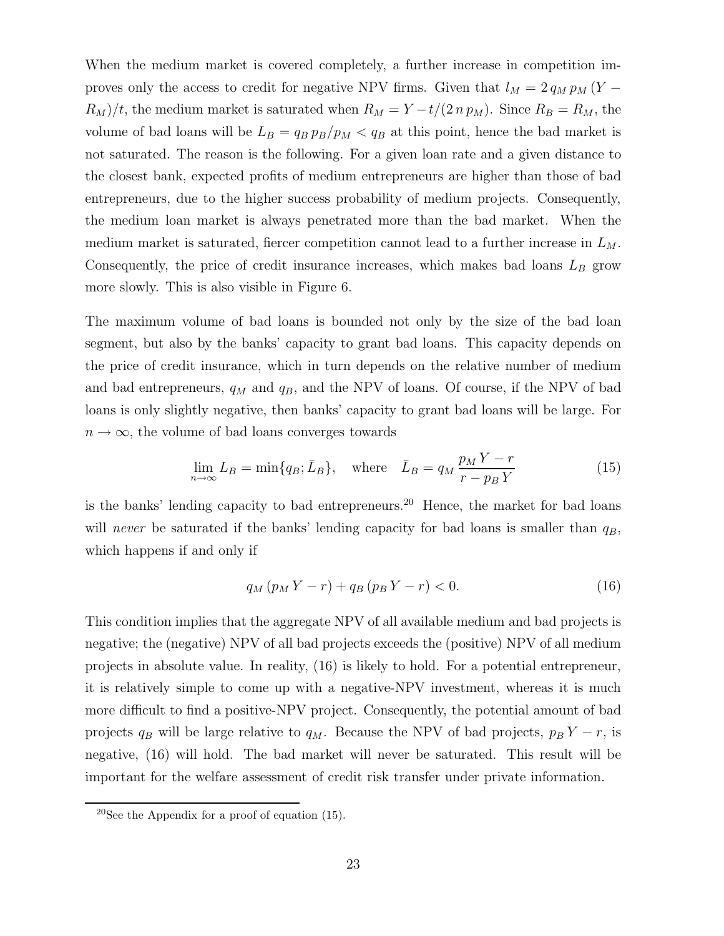When the medium market is covered completely, a further increase in competition improves only the access to credit for negative NPV firms. Given that  $l_M = 2 q_M p_M (Y R_M/t$ , the medium market is saturated when  $R_M = Y - t/(2 n p_M)$ . Since  $R_B = R_M$ , the volume of bad loans will be  $L_B = q_B p_B/p_M < q_B$  at this point, hence the bad market is not saturated. The reason is the following. For a given loan rate and a given distance to the closest bank, expected profits of medium entrepreneurs are higher than those of bad entrepreneurs, due to the higher success probability of medium projects. Consequently, the medium loan market is always penetrated more than the bad market. When the medium market is saturated, fiercer competition cannot lead to a further increase in  $L_M$ . Consequently, the price of credit insurance increases, which makes bad loans  $L_B$  grow more slowly. This is also visible in Figure 6.

The maximum volume of bad loans is bounded not only by the size of the bad loan segment, but also by the banks' capacity to grant bad loans. This capacity depends on the price of credit insurance, which in turn depends on the relative number of medium and bad entrepreneurs,  $q_M$  and  $q_B$ , and the NPV of loans. Of course, if the NPV of bad loans is only slightly negative, then banks' capacity to grant bad loans will be large. For  $n \to \infty$ , the volume of bad loans converges towards

$$
\lim_{n \to \infty} L_B = \min\{q_B; \bar{L}_B\}, \quad \text{where} \quad \bar{L}_B = q_M \frac{p_M Y - r}{r - p_B Y} \tag{15}
$$

is the banks' lending capacity to bad entrepreneurs.<sup>20</sup> Hence, the market for bad loans will never be saturated if the banks' lending capacity for bad loans is smaller than  $q_B$ , which happens if and only if

$$
q_M(p_M Y - r) + q_B(p_B Y - r) < 0. \tag{16}
$$

This condition implies that the aggregate NPV of all available medium and bad projects is negative; the (negative) NPV of all bad projects exceeds the (positive) NPV of all medium projects in absolute value. In reality, (16) is likely to hold. For a potential entrepreneur, it is relatively simple to come up with a negative-NPV investment, whereas it is much more difficult to find a positive-NPV project. Consequently, the potential amount of bad projects  $q_B$  will be large relative to  $q_M$ . Because the NPV of bad projects,  $p_B Y - r$ , is negative, (16) will hold. The bad market will never be saturated. This result will be important for the welfare assessment of credit risk transfer under private information.

<sup>&</sup>lt;sup>20</sup>See the Appendix for a proof of equation  $(15)$ .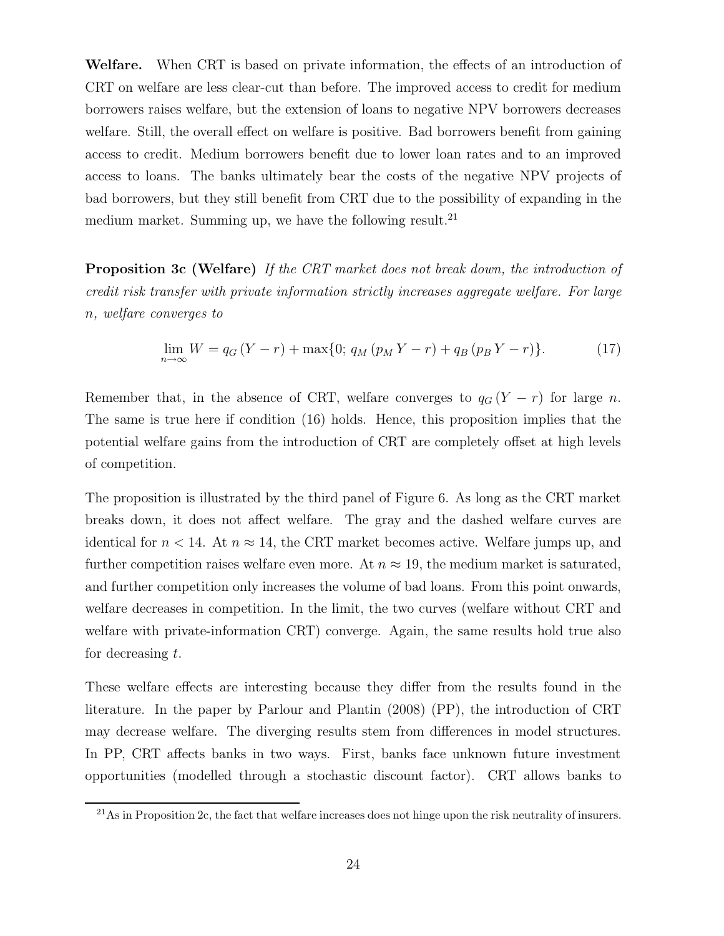Welfare. When CRT is based on private information, the effects of an introduction of CRT on welfare are less clear-cut than before. The improved access to credit for medium borrowers raises welfare, but the extension of loans to negative NPV borrowers decreases welfare. Still, the overall effect on welfare is positive. Bad borrowers benefit from gaining access to credit. Medium borrowers benefit due to lower loan rates and to an improved access to loans. The banks ultimately bear the costs of the negative NPV projects of bad borrowers, but they still benefit from CRT due to the possibility of expanding in the medium market. Summing up, we have the following result.<sup>21</sup>

**Proposition 3c (Welfare)** If the CRT market does not break down, the introduction of credit risk transfer with private information strictly increases aggregate welfare. For large n, welfare converges to

$$
\lim_{n \to \infty} W = q_G (Y - r) + \max\{0; q_M (p_M Y - r) + q_B (p_B Y - r)\}.
$$
 (17)

Remember that, in the absence of CRT, welfare converges to  $q_G(Y - r)$  for large n. The same is true here if condition (16) holds. Hence, this proposition implies that the potential welfare gains from the introduction of CRT are completely offset at high levels of competition.

The proposition is illustrated by the third panel of Figure 6. As long as the CRT market breaks down, it does not affect welfare. The gray and the dashed welfare curves are identical for  $n < 14$ . At  $n \approx 14$ , the CRT market becomes active. Welfare jumps up, and further competition raises welfare even more. At  $n \approx 19$ , the medium market is saturated, and further competition only increases the volume of bad loans. From this point onwards, welfare decreases in competition. In the limit, the two curves (welfare without CRT and welfare with private-information CRT) converge. Again, the same results hold true also for decreasing t.

These welfare effects are interesting because they differ from the results found in the literature. In the paper by Parlour and Plantin (2008) (PP), the introduction of CRT may decrease welfare. The diverging results stem from differences in model structures. In PP, CRT affects banks in two ways. First, banks face unknown future investment opportunities (modelled through a stochastic discount factor). CRT allows banks to

<sup>21</sup>As in Proposition 2c, the fact that welfare increases does not hinge upon the risk neutrality of insurers.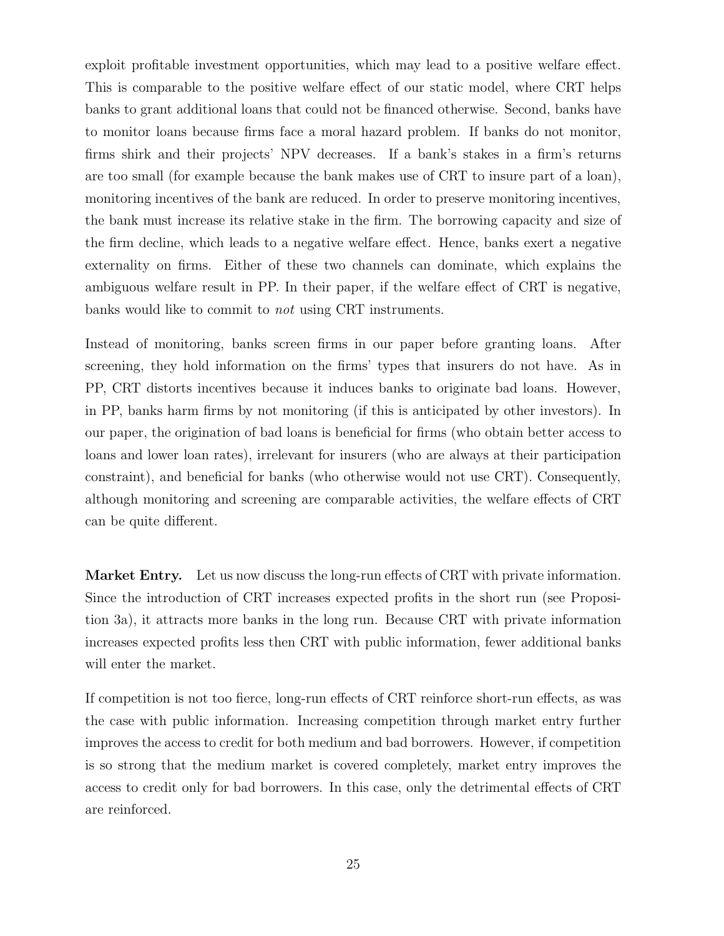exploit profitable investment opportunities, which may lead to a positive welfare effect. This is comparable to the positive welfare effect of our static model, where CRT helps banks to grant additional loans that could not be financed otherwise. Second, banks have to monitor loans because firms face a moral hazard problem. If banks do not monitor, firms shirk and their projects' NPV decreases. If a bank's stakes in a firm's returns are too small (for example because the bank makes use of CRT to insure part of a loan), monitoring incentives of the bank are reduced. In order to preserve monitoring incentives, the bank must increase its relative stake in the firm. The borrowing capacity and size of the firm decline, which leads to a negative welfare effect. Hence, banks exert a negative externality on firms. Either of these two channels can dominate, which explains the ambiguous welfare result in PP. In their paper, if the welfare effect of CRT is negative, banks would like to commit to not using CRT instruments.

Instead of monitoring, banks screen firms in our paper before granting loans. After screening, they hold information on the firms' types that insurers do not have. As in PP, CRT distorts incentives because it induces banks to originate bad loans. However, in PP, banks harm firms by not monitoring (if this is anticipated by other investors). In our paper, the origination of bad loans is beneficial for firms (who obtain better access to loans and lower loan rates), irrelevant for insurers (who are always at their participation constraint), and beneficial for banks (who otherwise would not use CRT). Consequently, although monitoring and screening are comparable activities, the welfare effects of CRT can be quite different.

Market Entry. Let us now discuss the long-run effects of CRT with private information. Since the introduction of CRT increases expected profits in the short run (see Proposition 3a), it attracts more banks in the long run. Because CRT with private information increases expected profits less then CRT with public information, fewer additional banks will enter the market.

If competition is not too fierce, long-run effects of CRT reinforce short-run effects, as was the case with public information. Increasing competition through market entry further improves the access to credit for both medium and bad borrowers. However, if competition is so strong that the medium market is covered completely, market entry improves the access to credit only for bad borrowers. In this case, only the detrimental effects of CRT are reinforced.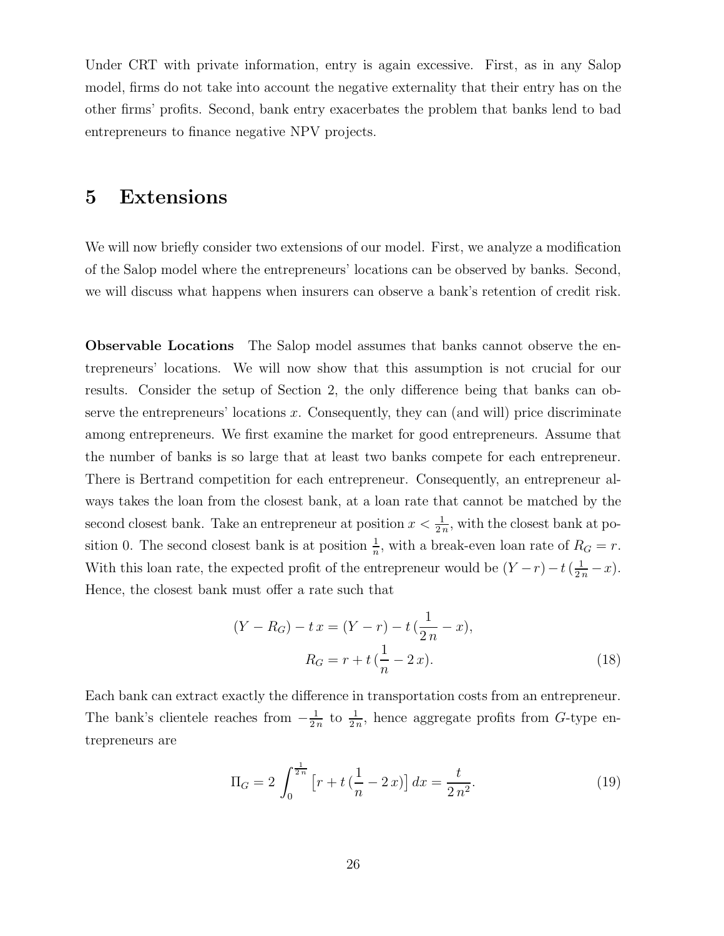Under CRT with private information, entry is again excessive. First, as in any Salop model, firms do not take into account the negative externality that their entry has on the other firms' profits. Second, bank entry exacerbates the problem that banks lend to bad entrepreneurs to finance negative NPV projects.

### 5 Extensions

We will now briefly consider two extensions of our model. First, we analyze a modification of the Salop model where the entrepreneurs' locations can be observed by banks. Second, we will discuss what happens when insurers can observe a bank's retention of credit risk.

Observable Locations The Salop model assumes that banks cannot observe the entrepreneurs' locations. We will now show that this assumption is not crucial for our results. Consider the setup of Section 2, the only difference being that banks can observe the entrepreneurs' locations  $x$ . Consequently, they can (and will) price discriminate among entrepreneurs. We first examine the market for good entrepreneurs. Assume that the number of banks is so large that at least two banks compete for each entrepreneur. There is Bertrand competition for each entrepreneur. Consequently, an entrepreneur always takes the loan from the closest bank, at a loan rate that cannot be matched by the second closest bank. Take an entrepreneur at position  $x < \frac{1}{2n}$ , with the closest bank at position 0. The second closest bank is at position  $\frac{1}{n}$ , with a break-even loan rate of  $R_G = r$ . With this loan rate, the expected profit of the entrepreneur would be  $(Y - r) - t\left(\frac{1}{2n} - x\right)$ . Hence, the closest bank must offer a rate such that

$$
(Y - R_G) - tx = (Y - r) - t\left(\frac{1}{2n} - x\right),
$$
  

$$
R_G = r + t\left(\frac{1}{n} - 2x\right).
$$
 (18)

Each bank can extract exactly the difference in transportation costs from an entrepreneur. The bank's clientele reaches from  $-\frac{1}{2i}$  $\frac{1}{2n}$  to  $\frac{1}{2n}$ , hence aggregate profits from G-type entrepreneurs are

$$
\Pi_G = 2 \int_0^{\frac{1}{2n}} \left[ r + t \left( \frac{1}{n} - 2 x \right) \right] dx = \frac{t}{2 n^2}.
$$
\n(19)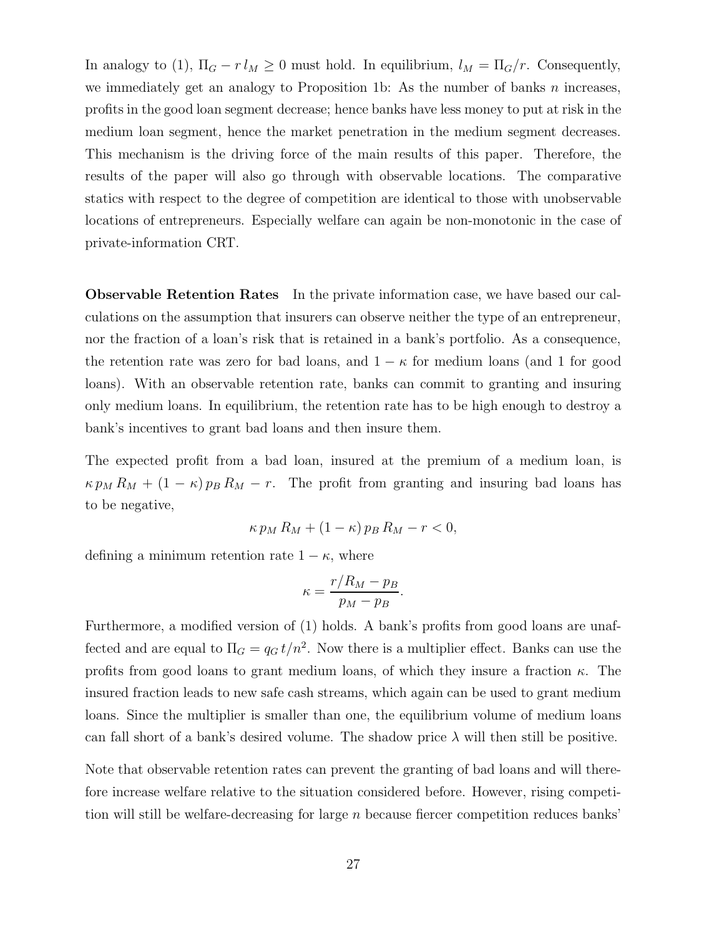In analogy to (1),  $\Pi_G - r l_M \geq 0$  must hold. In equilibrium,  $l_M = \Pi_G/r$ . Consequently, we immediately get an analogy to Proposition 1b: As the number of banks  $n$  increases, profits in the good loan segment decrease; hence banks have less money to put at risk in the medium loan segment, hence the market penetration in the medium segment decreases. This mechanism is the driving force of the main results of this paper. Therefore, the results of the paper will also go through with observable locations. The comparative statics with respect to the degree of competition are identical to those with unobservable locations of entrepreneurs. Especially welfare can again be non-monotonic in the case of private-information CRT.

Observable Retention Rates In the private information case, we have based our calculations on the assumption that insurers can observe neither the type of an entrepreneur, nor the fraction of a loan's risk that is retained in a bank's portfolio. As a consequence, the retention rate was zero for bad loans, and  $1 - \kappa$  for medium loans (and 1 for good loans). With an observable retention rate, banks can commit to granting and insuring only medium loans. In equilibrium, the retention rate has to be high enough to destroy a bank's incentives to grant bad loans and then insure them.

The expected profit from a bad loan, insured at the premium of a medium loan, is  $\kappa p_M R_M + (1 - \kappa) p_B R_M - r$ . The profit from granting and insuring bad loans has to be negative,

$$
\kappa p_M R_M + (1 - \kappa) p_B R_M - r < 0,
$$

defining a minimum retention rate  $1 - \kappa$ , where

$$
\kappa = \frac{r/R_M - p_B}{p_M - p_B}.
$$

Furthermore, a modified version of (1) holds. A bank's profits from good loans are unaffected and are equal to  $\Pi_G = q_G t/n^2$ . Now there is a multiplier effect. Banks can use the profits from good loans to grant medium loans, of which they insure a fraction  $\kappa$ . The insured fraction leads to new safe cash streams, which again can be used to grant medium loans. Since the multiplier is smaller than one, the equilibrium volume of medium loans can fall short of a bank's desired volume. The shadow price  $\lambda$  will then still be positive.

Note that observable retention rates can prevent the granting of bad loans and will therefore increase welfare relative to the situation considered before. However, rising competition will still be welfare-decreasing for large  $n$  because fiercer competition reduces banks'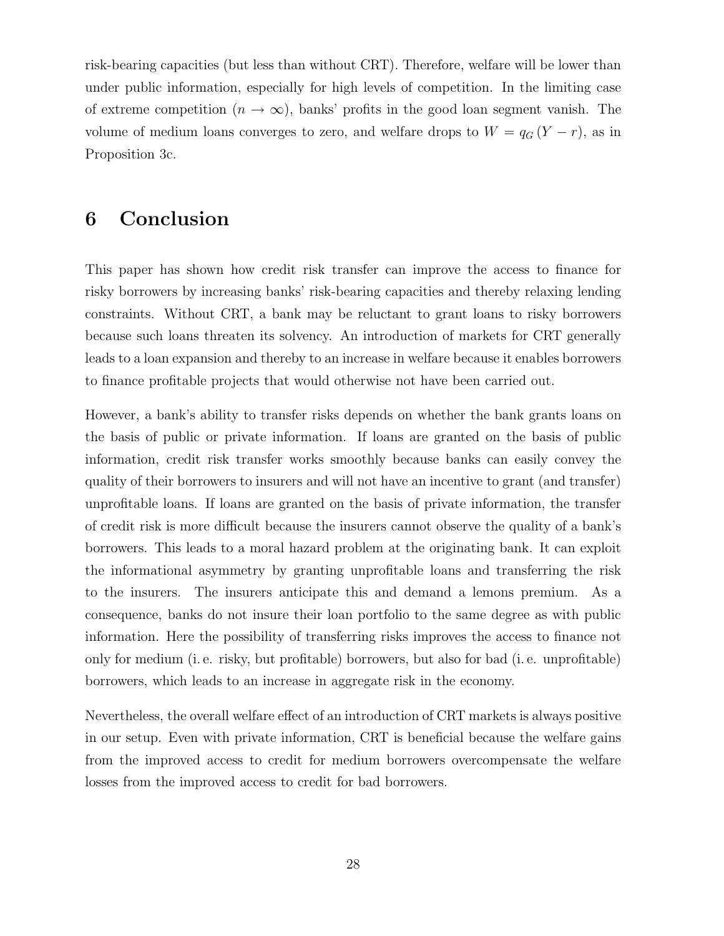risk-bearing capacities (but less than without CRT). Therefore, welfare will be lower than under public information, especially for high levels of competition. In the limiting case of extreme competition  $(n \to \infty)$ , banks' profits in the good loan segment vanish. The volume of medium loans converges to zero, and welfare drops to  $W = q_G(Y - r)$ , as in Proposition 3c.

# 6 Conclusion

This paper has shown how credit risk transfer can improve the access to finance for risky borrowers by increasing banks' risk-bearing capacities and thereby relaxing lending constraints. Without CRT, a bank may be reluctant to grant loans to risky borrowers because such loans threaten its solvency. An introduction of markets for CRT generally leads to a loan expansion and thereby to an increase in welfare because it enables borrowers to finance profitable projects that would otherwise not have been carried out.

However, a bank's ability to transfer risks depends on whether the bank grants loans on the basis of public or private information. If loans are granted on the basis of public information, credit risk transfer works smoothly because banks can easily convey the quality of their borrowers to insurers and will not have an incentive to grant (and transfer) unprofitable loans. If loans are granted on the basis of private information, the transfer of credit risk is more difficult because the insurers cannot observe the quality of a bank's borrowers. This leads to a moral hazard problem at the originating bank. It can exploit the informational asymmetry by granting unprofitable loans and transferring the risk to the insurers. The insurers anticipate this and demand a lemons premium. As a consequence, banks do not insure their loan portfolio to the same degree as with public information. Here the possibility of transferring risks improves the access to finance not only for medium (i. e. risky, but profitable) borrowers, but also for bad (i. e. unprofitable) borrowers, which leads to an increase in aggregate risk in the economy.

Nevertheless, the overall welfare effect of an introduction of CRT markets is always positive in our setup. Even with private information, CRT is beneficial because the welfare gains from the improved access to credit for medium borrowers overcompensate the welfare losses from the improved access to credit for bad borrowers.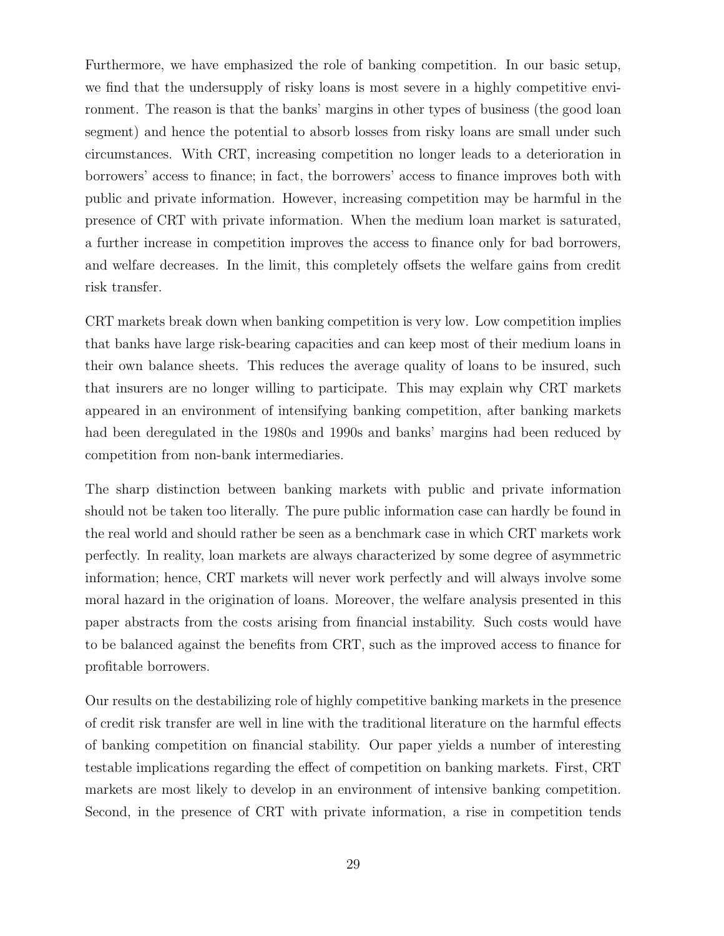Furthermore, we have emphasized the role of banking competition. In our basic setup, we find that the undersupply of risky loans is most severe in a highly competitive environment. The reason is that the banks' margins in other types of business (the good loan segment) and hence the potential to absorb losses from risky loans are small under such circumstances. With CRT, increasing competition no longer leads to a deterioration in borrowers' access to finance; in fact, the borrowers' access to finance improves both with public and private information. However, increasing competition may be harmful in the presence of CRT with private information. When the medium loan market is saturated, a further increase in competition improves the access to finance only for bad borrowers, and welfare decreases. In the limit, this completely offsets the welfare gains from credit risk transfer.

CRT markets break down when banking competition is very low. Low competition implies that banks have large risk-bearing capacities and can keep most of their medium loans in their own balance sheets. This reduces the average quality of loans to be insured, such that insurers are no longer willing to participate. This may explain why CRT markets appeared in an environment of intensifying banking competition, after banking markets had been deregulated in the 1980s and 1990s and banks' margins had been reduced by competition from non-bank intermediaries.

The sharp distinction between banking markets with public and private information should not be taken too literally. The pure public information case can hardly be found in the real world and should rather be seen as a benchmark case in which CRT markets work perfectly. In reality, loan markets are always characterized by some degree of asymmetric information; hence, CRT markets will never work perfectly and will always involve some moral hazard in the origination of loans. Moreover, the welfare analysis presented in this paper abstracts from the costs arising from financial instability. Such costs would have to be balanced against the benefits from CRT, such as the improved access to finance for profitable borrowers.

Our results on the destabilizing role of highly competitive banking markets in the presence of credit risk transfer are well in line with the traditional literature on the harmful effects of banking competition on financial stability. Our paper yields a number of interesting testable implications regarding the effect of competition on banking markets. First, CRT markets are most likely to develop in an environment of intensive banking competition. Second, in the presence of CRT with private information, a rise in competition tends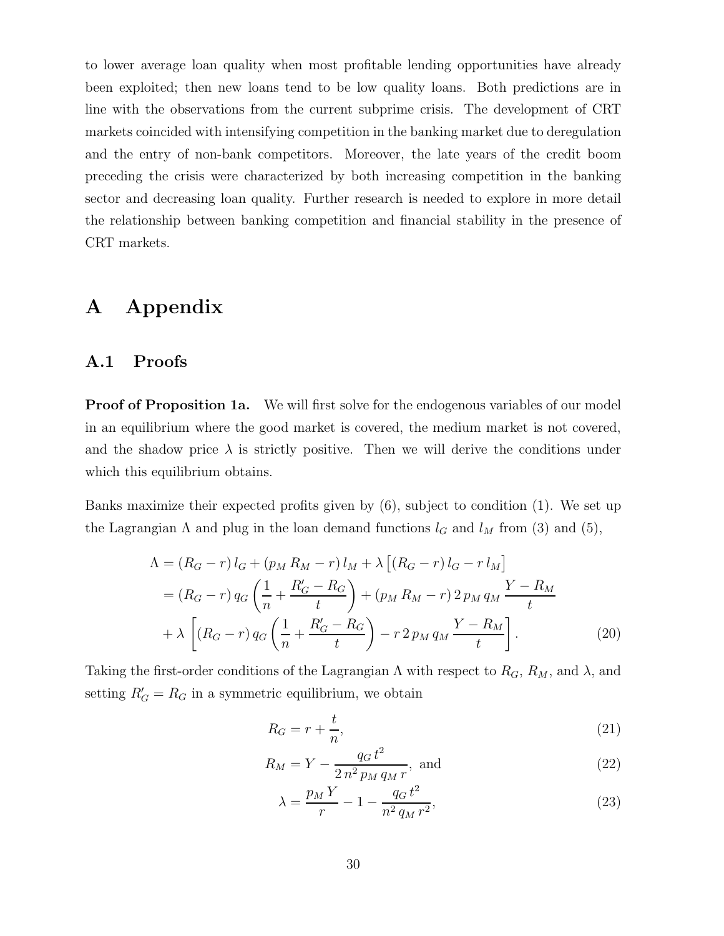to lower average loan quality when most profitable lending opportunities have already been exploited; then new loans tend to be low quality loans. Both predictions are in line with the observations from the current subprime crisis. The development of CRT markets coincided with intensifying competition in the banking market due to deregulation and the entry of non-bank competitors. Moreover, the late years of the credit boom preceding the crisis were characterized by both increasing competition in the banking sector and decreasing loan quality. Further research is needed to explore in more detail the relationship between banking competition and financial stability in the presence of CRT markets.

# A Appendix

### A.1 Proofs

**Proof of Proposition 1a.** We will first solve for the endogenous variables of our model in an equilibrium where the good market is covered, the medium market is not covered, and the shadow price  $\lambda$  is strictly positive. Then we will derive the conditions under which this equilibrium obtains.

Banks maximize their expected profits given by (6), subject to condition (1). We set up the Lagrangian  $\Lambda$  and plug in the loan demand functions  $l_G$  and  $l_M$  from (3) and (5),

$$
\Lambda = (R_G - r) l_G + (p_M R_M - r) l_M + \lambda \left[ (R_G - r) l_G - r l_M \right]
$$
  
=  $(R_G - r) q_G \left( \frac{1}{n} + \frac{R'_G - R_G}{t} \right) + (p_M R_M - r) 2 p_M q_M \frac{Y - R_M}{t}$   
+  $\lambda \left[ (R_G - r) q_G \left( \frac{1}{n} + \frac{R'_G - R_G}{t} \right) - r 2 p_M q_M \frac{Y - R_M}{t} \right].$  (20)

Taking the first-order conditions of the Lagrangian  $\Lambda$  with respect to  $R_G$ ,  $R_M$ , and  $\lambda$ , and setting  $R'_{G} = R_{G}$  in a symmetric equilibrium, we obtain

$$
R_G = r + \frac{t}{n},\tag{21}
$$

$$
R_M = Y - \frac{q_G t^2}{2 n^2 p_M q_M r}, \text{ and}
$$
 (22)

$$
\lambda = \frac{p_M Y}{r} - 1 - \frac{q_G t^2}{n^2 q_M r^2},\tag{23}
$$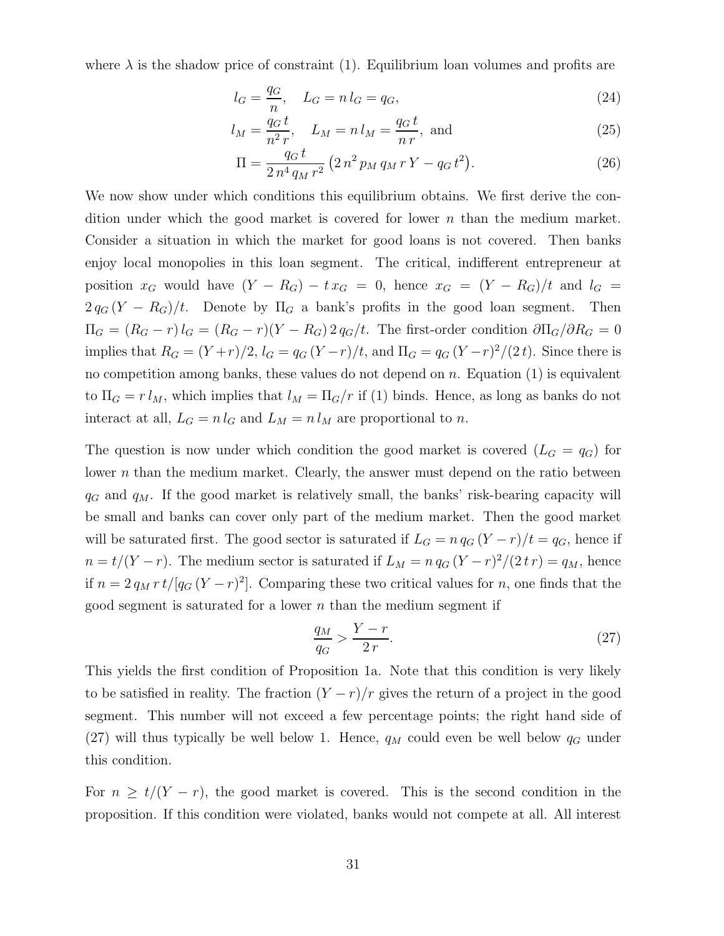where  $\lambda$  is the shadow price of constraint (1). Equilibrium loan volumes and profits are

$$
l_G = \frac{q_G}{n}, \quad L_G = n l_G = q_G,\tag{24}
$$

$$
l_M = \frac{q_G t}{n^2 r}
$$
,  $L_M = n l_M = \frac{q_G t}{n r}$ , and (25)

$$
\Pi = \frac{q_G t}{2 n^4 q_M r^2} \left( 2 n^2 p_M q_M r Y - q_G t^2 \right).
$$
 (26)

We now show under which conditions this equilibrium obtains. We first derive the condition under which the good market is covered for lower  $n$  than the medium market. Consider a situation in which the market for good loans is not covered. Then banks enjoy local monopolies in this loan segment. The critical, indifferent entrepreneur at position  $x_G$  would have  $(Y - R_G) - tx_G = 0$ , hence  $x_G = (Y - R_G)/t$  and  $l_G =$  $2 q_G (Y - R_G)/t$ . Denote by  $\Pi_G$  a bank's profits in the good loan segment. Then  $\Pi_G = (R_G - r)l_G = (R_G - r)(Y - R_G) 2 q_G/t$ . The first-order condition  $\partial \Pi_G / \partial R_G = 0$ implies that  $R_G = (Y + r)/2$ ,  $l_G = q_G(Y - r)/t$ , and  $\Pi_G = q_G(Y - r)^2/(2t)$ . Since there is no competition among banks, these values do not depend on  $n$ . Equation (1) is equivalent to  $\Pi_G = r l_M$ , which implies that  $l_M = \Pi_G/r$  if (1) binds. Hence, as long as banks do not interact at all,  $L_G = n l_G$  and  $L_M = n l_M$  are proportional to n.

The question is now under which condition the good market is covered  $(L_G = q_G)$  for lower  $n$  than the medium market. Clearly, the answer must depend on the ratio between  $q_G$  and  $q_M$ . If the good market is relatively small, the banks' risk-bearing capacity will be small and banks can cover only part of the medium market. Then the good market will be saturated first. The good sector is saturated if  $L_G = n q_G (Y - r)/t = q_G$ , hence if  $n = t/(Y - r)$ . The medium sector is saturated if  $L_M = n q_G (Y - r)^2/(2 t r) = q_M$ , hence if  $n = 2 q_M r t / [q_G (Y - r)^2]$ . Comparing these two critical values for n, one finds that the good segment is saturated for a lower  $n$  than the medium segment if

$$
\frac{q_M}{q_G} > \frac{Y - r}{2r}.\tag{27}
$$

This yields the first condition of Proposition 1a. Note that this condition is very likely to be satisfied in reality. The fraction  $(Y - r)/r$  gives the return of a project in the good segment. This number will not exceed a few percentage points; the right hand side of (27) will thus typically be well below 1. Hence,  $q_M$  could even be well below  $q_G$  under this condition.

For  $n \ge t/(Y - r)$ , the good market is covered. This is the second condition in the proposition. If this condition were violated, banks would not compete at all. All interest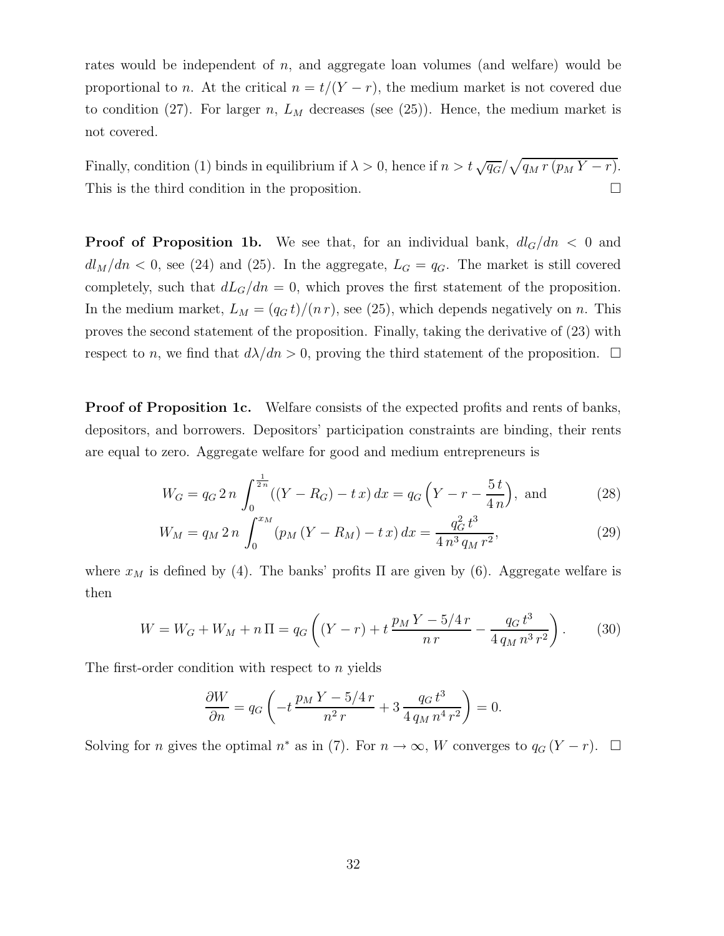rates would be independent of  $n$ , and aggregate loan volumes (and welfare) would be proportional to n. At the critical  $n = t/(Y - r)$ , the medium market is not covered due to condition (27). For larger n,  $L_M$  decreases (see (25)). Hence, the medium market is not covered.

Finally, condition (1) binds in equilibrium if  $\lambda > 0$ , hence if  $n > t \sqrt{q_G}/\sqrt{q_M r (p_M Y - r)}$ . This is the third condition in the proposition.

**Proof of Proposition 1b.** We see that, for an individual bank,  $dl_G/dn < 0$  and  $dl_M/dn < 0$ , see (24) and (25). In the aggregate,  $L_G = q_G$ . The market is still covered completely, such that  $dL_G/dn = 0$ , which proves the first statement of the proposition. In the medium market,  $L_M = (q_G t)/(n r)$ , see (25), which depends negatively on n. This proves the second statement of the proposition. Finally, taking the derivative of (23) with respect to n, we find that  $d\lambda/dn > 0$ , proving the third statement of the proposition.  $\Box$ 

Proof of Proposition 1c. Welfare consists of the expected profits and rents of banks, depositors, and borrowers. Depositors' participation constraints are binding, their rents are equal to zero. Aggregate welfare for good and medium entrepreneurs is

$$
W_G = q_G 2 n \int_0^{\frac{1}{2n}} ((Y - R_G) - tx) dx = q_G \left( Y - r - \frac{5t}{4n} \right), \text{ and } (28)
$$

$$
W_M = q_M 2 n \int_0^{x_M} (p_M (Y - R_M) - t x) dx = \frac{q_G^2 t^3}{4 n^3 q_M r^2},
$$
\n(29)

where  $x_M$  is defined by (4). The banks' profits  $\Pi$  are given by (6). Aggregate welfare is then

$$
W = W_G + W_M + n \Pi = q_G \left( (Y - r) + t \frac{p_M Y - 5/4 r}{n r} - \frac{q_G t^3}{4 q_M n^3 r^2} \right). \tag{30}
$$

The first-order condition with respect to  $n$  yields

$$
\frac{\partial W}{\partial n} = q_G \left( -t \frac{p_M Y - 5/4 r}{n^2 r} + 3 \frac{q_G t^3}{4 q_M n^4 r^2} \right) = 0.
$$

Solving for *n* gives the optimal  $n^*$  as in (7). For  $n \to \infty$ , W converges to  $q_G(Y - r)$ .  $\Box$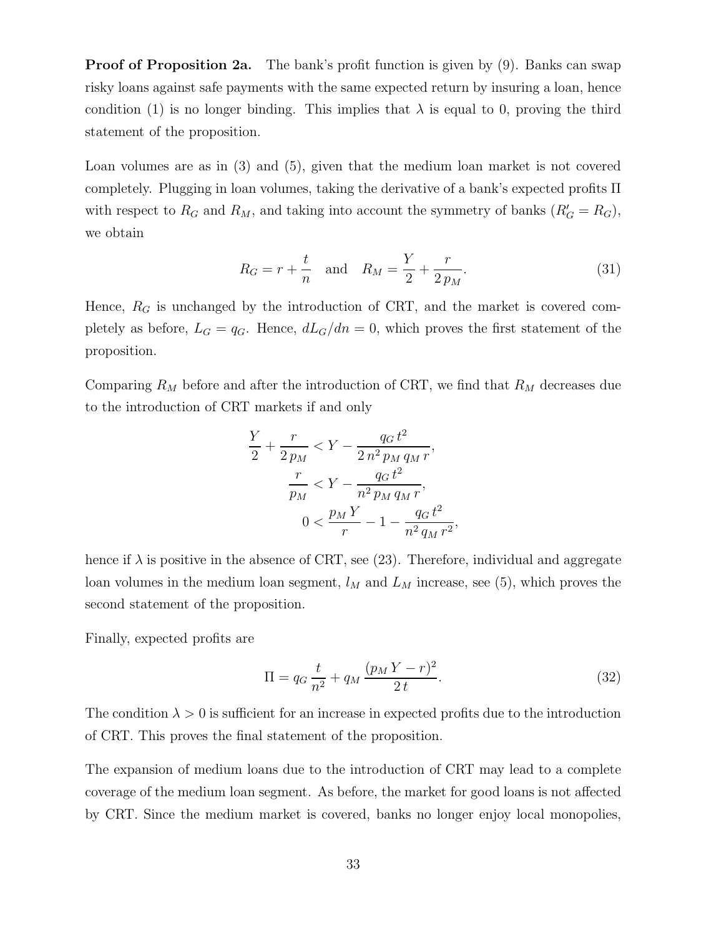**Proof of Proposition 2a.** The bank's profit function is given by (9). Banks can swap risky loans against safe payments with the same expected return by insuring a loan, hence condition (1) is no longer binding. This implies that  $\lambda$  is equal to 0, proving the third statement of the proposition.

Loan volumes are as in (3) and (5), given that the medium loan market is not covered completely. Plugging in loan volumes, taking the derivative of a bank's expected profits Π with respect to  $R_G$  and  $R_M$ , and taking into account the symmetry of banks  $(R'_G = R_G)$ , we obtain

$$
R_G = r + \frac{t}{n} \quad \text{and} \quad R_M = \frac{Y}{2} + \frac{r}{2p_M}.\tag{31}
$$

Hence,  $R_G$  is unchanged by the introduction of CRT, and the market is covered completely as before,  $L_G = q_G$ . Hence,  $dL_G/dn = 0$ , which proves the first statement of the proposition.

Comparing  $R_M$  before and after the introduction of CRT, we find that  $R_M$  decreases due to the introduction of CRT markets if and only

$$
\frac{Y}{2} + \frac{r}{2 p_M} < Y - \frac{q_G t^2}{2 n^2 p_M q_M r},
$$
\n
$$
\frac{r}{p_M} < Y - \frac{q_G t^2}{n^2 p_M q_M r},
$$
\n
$$
0 < \frac{p_M Y}{r} - 1 - \frac{q_G t^2}{n^2 q_M r^2},
$$

hence if  $\lambda$  is positive in the absence of CRT, see (23). Therefore, individual and aggregate loan volumes in the medium loan segment,  $l_M$  and  $L_M$  increase, see (5), which proves the second statement of the proposition.

Finally, expected profits are

$$
\Pi = q_G \frac{t}{n^2} + q_M \frac{(p_M Y - r)^2}{2t}.
$$
\n(32)

The condition  $\lambda > 0$  is sufficient for an increase in expected profits due to the introduction of CRT. This proves the final statement of the proposition.

The expansion of medium loans due to the introduction of CRT may lead to a complete coverage of the medium loan segment. As before, the market for good loans is not affected by CRT. Since the medium market is covered, banks no longer enjoy local monopolies,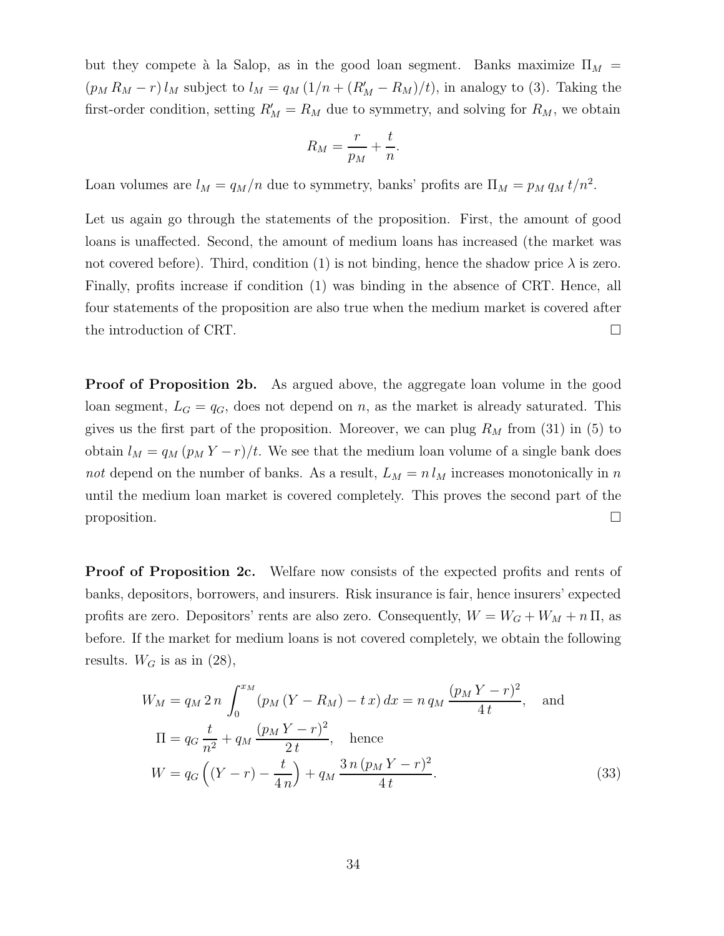but they compete à la Salop, as in the good loan segment. Banks maximize  $\Pi_M =$  $(p_M R_M - r) l_M$  subject to  $l_M = q_M (1/n + (R'_M - R_M)/t)$ , in analogy to (3). Taking the first-order condition, setting  $R'_M = R_M$  due to symmetry, and solving for  $R_M$ , we obtain

$$
R_M = \frac{r}{p_M} + \frac{t}{n}.
$$

Loan volumes are  $l_M = q_M/n$  due to symmetry, banks' profits are  $\Pi_M = p_M q_M t/n^2$ .

Let us again go through the statements of the proposition. First, the amount of good loans is unaffected. Second, the amount of medium loans has increased (the market was not covered before). Third, condition (1) is not binding, hence the shadow price  $\lambda$  is zero. Finally, profits increase if condition (1) was binding in the absence of CRT. Hence, all four statements of the proposition are also true when the medium market is covered after the introduction of CRT.

Proof of Proposition 2b. As argued above, the aggregate loan volume in the good loan segment,  $L_G = q_G$ , does not depend on n, as the market is already saturated. This gives us the first part of the proposition. Moreover, we can plug  $R_M$  from (31) in (5) to obtain  $l_M = q_M (p_M Y - r)/t$ . We see that the medium loan volume of a single bank does not depend on the number of banks. As a result,  $L_M = n l_M$  increases monotonically in n until the medium loan market is covered completely. This proves the second part of the proposition.  $\Box$ 

Proof of Proposition 2c. Welfare now consists of the expected profits and rents of banks, depositors, borrowers, and insurers. Risk insurance is fair, hence insurers' expected profits are zero. Depositors' rents are also zero. Consequently,  $W = W_G + W_M + n \Pi$ , as before. If the market for medium loans is not covered completely, we obtain the following results.  $W_G$  is as in (28),

$$
W_M = q_M 2 n \int_0^{x_M} (p_M (Y - R_M) - t x) dx = n q_M \frac{(p_M Y - r)^2}{4 t}, \text{ and}
$$
  
\n
$$
\Pi = q_G \frac{t}{n^2} + q_M \frac{(p_M Y - r)^2}{2 t}, \text{ hence}
$$
  
\n
$$
W = q_G \left( (Y - r) - \frac{t}{4 n} \right) + q_M \frac{3 n (p_M Y - r)^2}{4 t}.
$$
\n(33)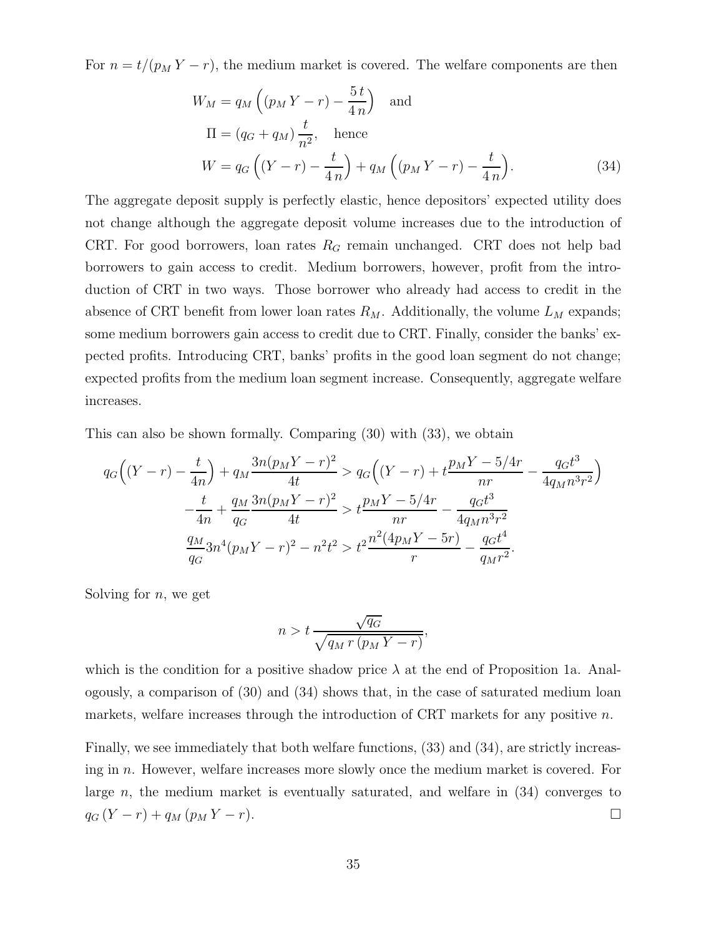For  $n = t/(p_M Y - r)$ , the medium market is covered. The welfare components are then

$$
W_M = q_M \left( (p_M Y - r) - \frac{5t}{4n} \right) \text{ and}
$$
  
\n
$$
\Pi = (q_G + q_M) \frac{t}{n^2}, \text{ hence}
$$
  
\n
$$
W = q_G \left( (Y - r) - \frac{t}{4n} \right) + q_M \left( (p_M Y - r) - \frac{t}{4n} \right).
$$
\n(34)

The aggregate deposit supply is perfectly elastic, hence depositors' expected utility does not change although the aggregate deposit volume increases due to the introduction of CRT. For good borrowers, loan rates  $R_G$  remain unchanged. CRT does not help bad borrowers to gain access to credit. Medium borrowers, however, profit from the introduction of CRT in two ways. Those borrower who already had access to credit in the absence of CRT benefit from lower loan rates  $R_M$ . Additionally, the volume  $L_M$  expands; some medium borrowers gain access to credit due to CRT. Finally, consider the banks' expected profits. Introducing CRT, banks' profits in the good loan segment do not change; expected profits from the medium loan segment increase. Consequently, aggregate welfare increases.

This can also be shown formally. Comparing (30) with (33), we obtain

$$
q_G\left((Y-r) - \frac{t}{4n}\right) + q_M \frac{3n(p_M Y - r)^2}{4t} > q_G\left((Y-r) + t\frac{p_M Y - 5/4r}{nr} - \frac{q_G t^3}{4q_M n^3 r^2}\right) -\frac{t}{4n} + \frac{q_M}{q_G} \frac{3n(p_M Y - r)^2}{4t} > t\frac{p_M Y - 5/4r}{nr} - \frac{q_G t^3}{4q_M n^3 r^2} \frac{q_M}{q_G} 3n^4(p_M Y - r)^2 - n^2 t^2 > t^2 \frac{n^2(4p_M Y - 5r)}{r} - \frac{q_G t^4}{q_M r^2}.
$$

Solving for  $n$ , we get

$$
n > t \frac{\sqrt{q_G}}{\sqrt{q_M r (p_M Y - r)}},
$$

which is the condition for a positive shadow price  $\lambda$  at the end of Proposition 1a. Analogously, a comparison of (30) and (34) shows that, in the case of saturated medium loan markets, welfare increases through the introduction of CRT markets for any positive  $n$ .

Finally, we see immediately that both welfare functions, (33) and (34), are strictly increasing in n. However, welfare increases more slowly once the medium market is covered. For large  $n$ , the medium market is eventually saturated, and welfare in  $(34)$  converges to  $q_G(Y - r) + q_M (p_M Y - r).$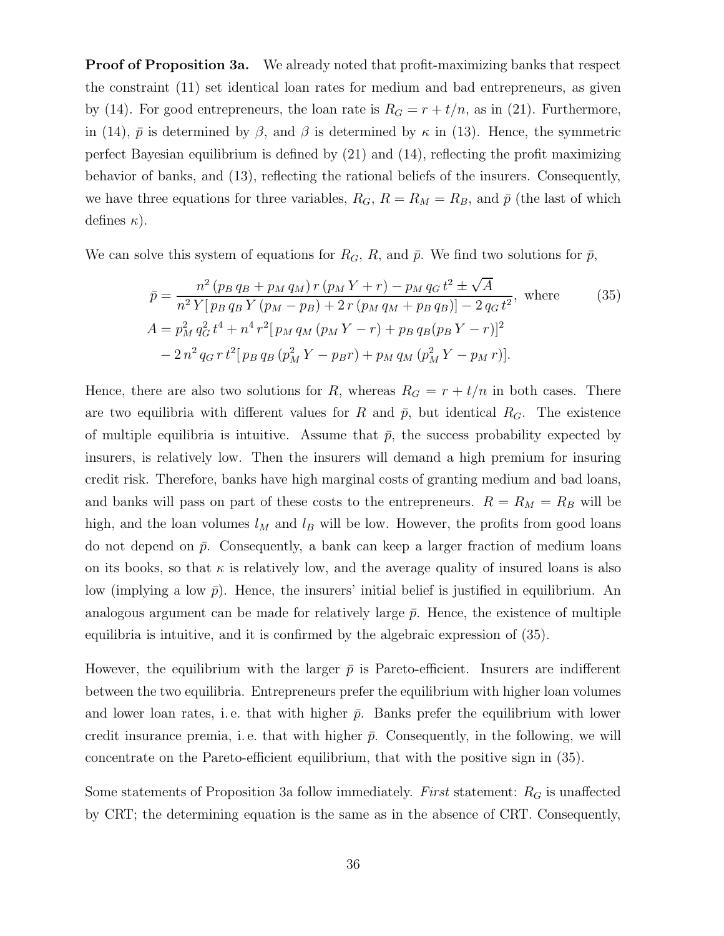Proof of Proposition 3a. We already noted that profit-maximizing banks that respect the constraint (11) set identical loan rates for medium and bad entrepreneurs, as given by (14). For good entrepreneurs, the loan rate is  $R_G = r + t/n$ , as in (21). Furthermore, in (14),  $\bar{p}$  is determined by  $\beta$ , and  $\beta$  is determined by  $\kappa$  in (13). Hence, the symmetric perfect Bayesian equilibrium is defined by (21) and (14), reflecting the profit maximizing behavior of banks, and (13), reflecting the rational beliefs of the insurers. Consequently, we have three equations for three variables,  $R_G$ ,  $R = R_M = R_B$ , and  $\bar{p}$  (the last of which defines  $\kappa$ ).

We can solve this system of equations for  $R_G$ , R, and  $\bar{p}$ . We find two solutions for  $\bar{p}$ ,

$$
\bar{p} = \frac{n^2 (p_B q_B + p_M q_M) r (p_M Y + r) - p_M q_G t^2 \pm \sqrt{A}}{n^2 Y [p_B q_B Y (p_M - p_B) + 2 r (p_M q_M + p_B q_B)] - 2 q_G t^2}, \text{ where}
$$
\n
$$
A = p_M^2 q_G^2 t^4 + n^4 r^2 [p_M q_M (p_M Y - r) + p_B q_B (p_B Y - r)]^2
$$
\n
$$
- 2 n^2 q_G r t^2 [p_B q_B (p_M^2 Y - p_B r) + p_M q_M (p_M^2 Y - p_M r)].
$$
\n(35)

Hence, there are also two solutions for R, whereas  $R_G = r + t/n$  in both cases. There are two equilibria with different values for R and  $\bar{p}$ , but identical  $R_G$ . The existence of multiple equilibria is intuitive. Assume that  $\bar{p}$ , the success probability expected by insurers, is relatively low. Then the insurers will demand a high premium for insuring credit risk. Therefore, banks have high marginal costs of granting medium and bad loans, and banks will pass on part of these costs to the entrepreneurs.  $R = R_M = R_B$  will be high, and the loan volumes  $l_M$  and  $l_B$  will be low. However, the profits from good loans do not depend on  $\bar{p}$ . Consequently, a bank can keep a larger fraction of medium loans on its books, so that  $\kappa$  is relatively low, and the average quality of insured loans is also low (implying a low  $\bar{p}$ ). Hence, the insurers' initial belief is justified in equilibrium. An analogous argument can be made for relatively large  $\bar{p}$ . Hence, the existence of multiple equilibria is intuitive, and it is confirmed by the algebraic expression of (35).

However, the equilibrium with the larger  $\bar{p}$  is Pareto-efficient. Insurers are indifferent between the two equilibria. Entrepreneurs prefer the equilibrium with higher loan volumes and lower loan rates, i.e. that with higher  $\bar{p}$ . Banks prefer the equilibrium with lower credit insurance premia, i.e. that with higher  $\bar{p}$ . Consequently, in the following, we will concentrate on the Pareto-efficient equilibrium, that with the positive sign in (35).

Some statements of Proposition 3a follow immediately. First statement:  $R_G$  is unaffected by CRT; the determining equation is the same as in the absence of CRT. Consequently,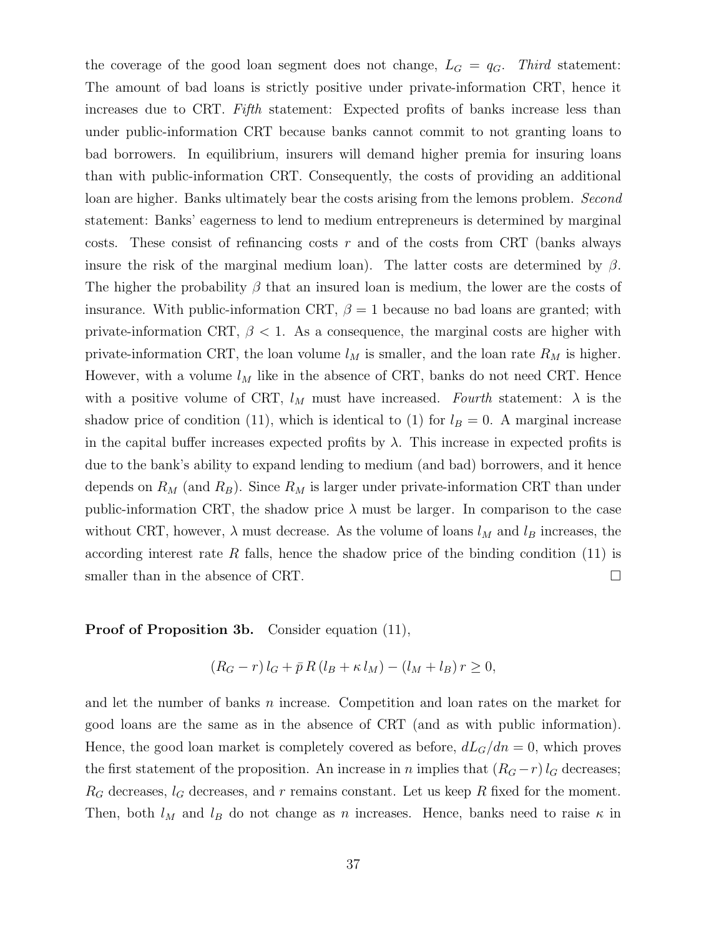the coverage of the good loan segment does not change,  $L_G = q_G$ . Third statement: The amount of bad loans is strictly positive under private-information CRT, hence it increases due to CRT. Fifth statement: Expected profits of banks increase less than under public-information CRT because banks cannot commit to not granting loans to bad borrowers. In equilibrium, insurers will demand higher premia for insuring loans than with public-information CRT. Consequently, the costs of providing an additional loan are higher. Banks ultimately bear the costs arising from the lemons problem. Second statement: Banks' eagerness to lend to medium entrepreneurs is determined by marginal costs. These consist of refinancing costs r and of the costs from CRT (banks always insure the risk of the marginal medium loan). The latter costs are determined by  $\beta$ . The higher the probability  $\beta$  that an insured loan is medium, the lower are the costs of insurance. With public-information CRT,  $\beta = 1$  because no bad loans are granted; with private-information CRT,  $\beta$  < 1. As a consequence, the marginal costs are higher with private-information CRT, the loan volume  $l_M$  is smaller, and the loan rate  $R_M$  is higher. However, with a volume  $l_M$  like in the absence of CRT, banks do not need CRT. Hence with a positive volume of CRT,  $l_M$  must have increased. Fourth statement:  $\lambda$  is the shadow price of condition (11), which is identical to (1) for  $l_B = 0$ . A marginal increase in the capital buffer increases expected profits by  $\lambda$ . This increase in expected profits is due to the bank's ability to expand lending to medium (and bad) borrowers, and it hence depends on  $R_M$  (and  $R_B$ ). Since  $R_M$  is larger under private-information CRT than under public-information CRT, the shadow price  $\lambda$  must be larger. In comparison to the case without CRT, however,  $\lambda$  must decrease. As the volume of loans  $l_M$  and  $l_B$  increases, the according interest rate R falls, hence the shadow price of the binding condition  $(11)$  is smaller than in the absence of CRT.

Proof of Proposition 3b. Consider equation  $(11)$ ,

$$
(R_G - r) l_G + \bar{p} R (l_B + \kappa l_M) - (l_M + l_B) r \ge 0,
$$

and let the number of banks n increase. Competition and loan rates on the market for good loans are the same as in the absence of CRT (and as with public information). Hence, the good loan market is completely covered as before,  $dL_G/dn = 0$ , which proves the first statement of the proposition. An increase in n implies that  $(R_G - r)$  l<sub>G</sub> decreases;  $R_G$  decreases,  $l_G$  decreases, and r remains constant. Let us keep R fixed for the moment. Then, both  $l_M$  and  $l_B$  do not change as n increases. Hence, banks need to raise  $\kappa$  in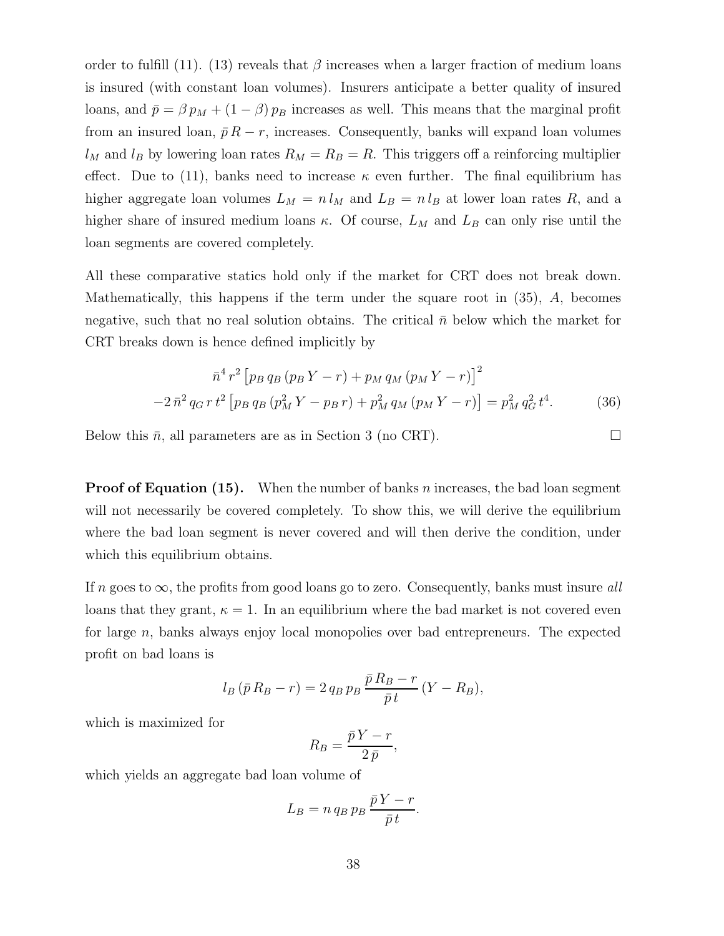order to fulfill (11). (13) reveals that  $\beta$  increases when a larger fraction of medium loans is insured (with constant loan volumes). Insurers anticipate a better quality of insured loans, and  $\bar{p} = \beta p_M + (1 - \beta) p_B$  increases as well. This means that the marginal profit from an insured loan,  $\bar{p} R - r$ , increases. Consequently, banks will expand loan volumes  $l_M$  and  $l_B$  by lowering loan rates  $R_M = R_B = R$ . This triggers off a reinforcing multiplier effect. Due to (11), banks need to increase  $\kappa$  even further. The final equilibrium has higher aggregate loan volumes  $L_M = n l_M$  and  $L_B = n l_B$  at lower loan rates R, and a higher share of insured medium loans  $\kappa$ . Of course,  $L_M$  and  $L_B$  can only rise until the loan segments are covered completely.

All these comparative statics hold only if the market for CRT does not break down. Mathematically, this happens if the term under the square root in (35), A, becomes negative, such that no real solution obtains. The critical  $\bar{n}$  below which the market for CRT breaks down is hence defined implicitly by

$$
\bar{n}^4 r^2 \left[ p_B q_B (p_B Y - r) + p_M q_M (p_M Y - r) \right]^2
$$
  
-2  $\bar{n}^2 q_G r t^2 \left[ p_B q_B (p_M^2 Y - p_B r) + p_M^2 q_M (p_M Y - r) \right] = p_M^2 q_G^2 t^4.$  (36)

Below this  $\bar{n}$ , all parameters are as in Section 3 (no CRT).

**Proof of Equation (15).** When the number of banks n increases, the bad loan segment will not necessarily be covered completely. To show this, we will derive the equilibrium where the bad loan segment is never covered and will then derive the condition, under which this equilibrium obtains.

If n goes to  $\infty$ , the profits from good loans go to zero. Consequently, banks must insure all loans that they grant,  $\kappa = 1$ . In an equilibrium where the bad market is not covered even for large n, banks always enjoy local monopolies over bad entrepreneurs. The expected profit on bad loans is

$$
l_B(\bar{p}\,R_B - r) = 2 q_B p_B \frac{\bar{p}\,R_B - r}{\bar{p}\,t} (Y - R_B),
$$

which is maximized for

$$
R_B = \frac{\bar{p}\,Y - r}{2\,\bar{p}},
$$

which yields an aggregate bad loan volume of

$$
L_B = n q_B p_B \frac{\bar{p}Y - r}{\bar{p}t}.
$$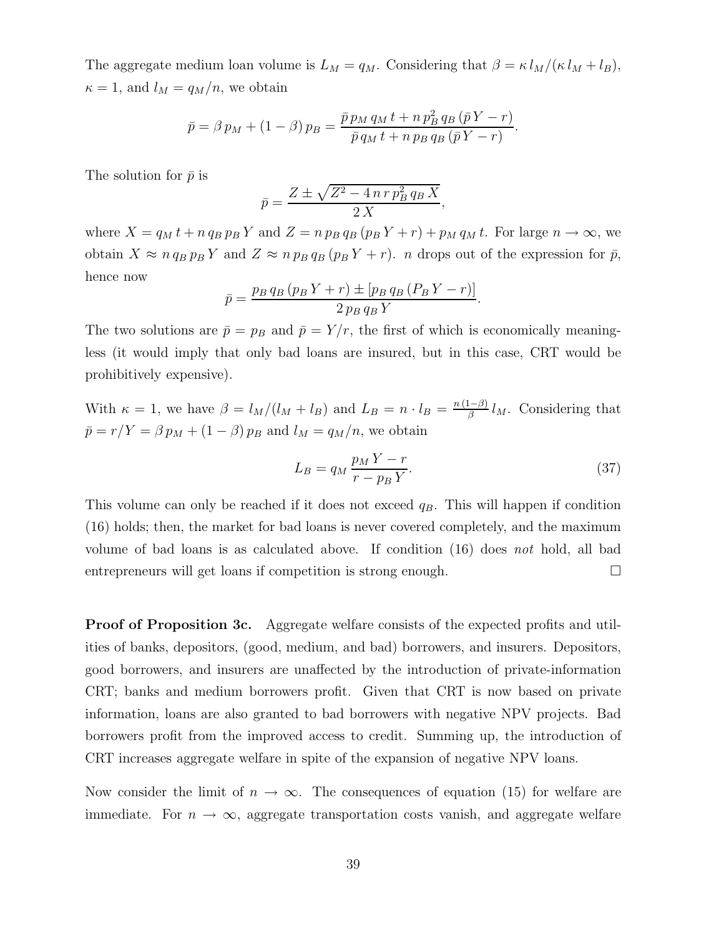The aggregate medium loan volume is  $L_M = q_M$ . Considering that  $\beta = \kappa l_M/(\kappa l_M + l_B)$ ,  $\kappa = 1$ , and  $l_M = q_M/n$ , we obtain

$$
\bar{p} = \beta p_M + (1 - \beta) p_B = \frac{\bar{p} p_M q_M t + n p_B^2 q_B (\bar{p} Y - r)}{\bar{p} q_M t + n p_B q_B (\bar{p} Y - r)}.
$$

The solution for  $\bar{p}$  is

$$
\bar{p} = \frac{Z \pm \sqrt{Z^2 - 4 n r p_B^2 q_B X}}{2 X},
$$

where  $X = q_M t + n q_B p_B Y$  and  $Z = n p_B q_B (p_B Y + r) + p_M q_M t$ . For large  $n \to \infty$ , we obtain  $X \approx n q_B p_B Y$  and  $Z \approx n p_B q_B (p_B Y + r)$ . *n* drops out of the expression for  $\bar{p}$ , hence now

$$
\bar{p} = \frac{p_B q_B (p_B Y + r) \pm [p_B q_B (P_B Y - r)]}{2 p_B q_B Y}.
$$

The two solutions are  $\bar{p} = p_B$  and  $\bar{p} = Y/r$ , the first of which is economically meaningless (it would imply that only bad loans are insured, but in this case, CRT would be prohibitively expensive).

With  $\kappa = 1$ , we have  $\beta = l_M/(l_M + l_B)$  and  $L_B = n \cdot l_B = \frac{n(1-\beta)}{\beta}$  $\frac{(1-\beta)}{\beta}$  l<sub>M</sub>. Considering that  $\bar{p} = r/Y = \beta p_M + (1 - \beta) p_B$  and  $l_M = q_M/n$ , we obtain

$$
L_B = q_M \frac{p_M Y - r}{r - p_B Y}.\tag{37}
$$

This volume can only be reached if it does not exceed  $q_B$ . This will happen if condition (16) holds; then, the market for bad loans is never covered completely, and the maximum volume of bad loans is as calculated above. If condition (16) does not hold, all bad entrepreneurs will get loans if competition is strong enough.

Proof of Proposition 3c. Aggregate welfare consists of the expected profits and utilities of banks, depositors, (good, medium, and bad) borrowers, and insurers. Depositors, good borrowers, and insurers are unaffected by the introduction of private-information CRT; banks and medium borrowers profit. Given that CRT is now based on private information, loans are also granted to bad borrowers with negative NPV projects. Bad borrowers profit from the improved access to credit. Summing up, the introduction of CRT increases aggregate welfare in spite of the expansion of negative NPV loans.

Now consider the limit of  $n \to \infty$ . The consequences of equation (15) for welfare are immediate. For  $n \to \infty$ , aggregate transportation costs vanish, and aggregate welfare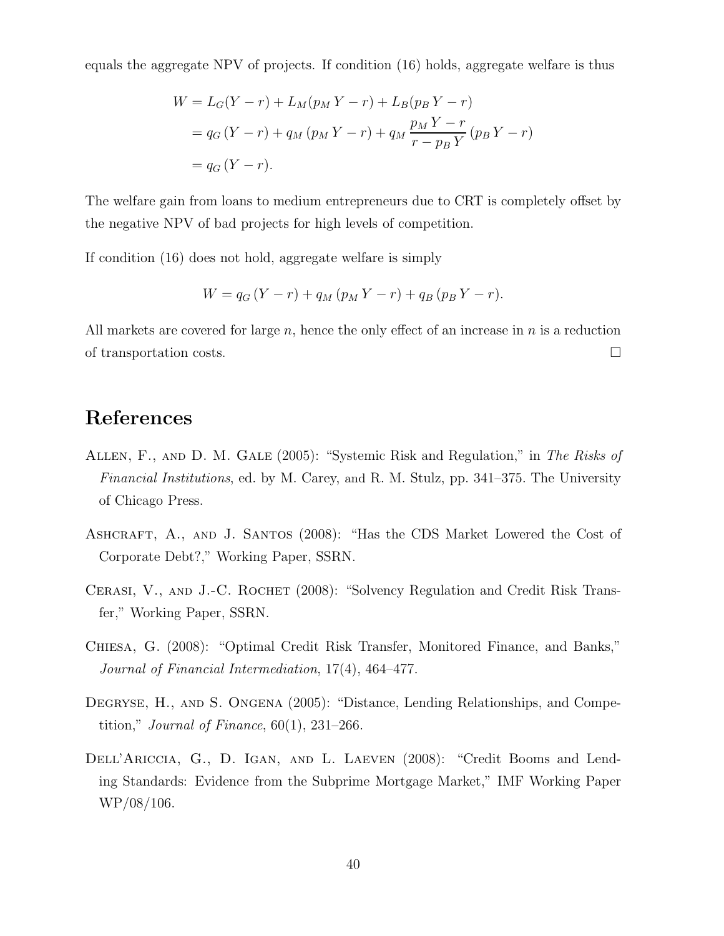equals the aggregate NPV of projects. If condition (16) holds, aggregate welfare is thus

$$
W = L_G(Y - r) + L_M(p_M Y - r) + L_B(p_B Y - r)
$$
  
=  $q_G(Y - r) + q_M(p_M Y - r) + q_M \frac{p_M Y - r}{r - p_B Y} (p_B Y - r)$   
=  $q_G(Y - r)$ .

The welfare gain from loans to medium entrepreneurs due to CRT is completely offset by the negative NPV of bad projects for high levels of competition.

If condition (16) does not hold, aggregate welfare is simply

$$
W = q_G(Y - r) + q_M (p_M Y - r) + q_B (p_B Y - r).
$$

All markets are covered for large  $n$ , hence the only effect of an increase in  $n$  is a reduction of transportation costs.  $\Box$ 

### References

- ALLEN, F., AND D. M. GALE (2005): "Systemic Risk and Regulation," in The Risks of Financial Institutions, ed. by M. Carey, and R. M. Stulz, pp. 341–375. The University of Chicago Press.
- Ashcraft, A., and J. Santos (2008): "Has the CDS Market Lowered the Cost of Corporate Debt?," Working Paper, SSRN.
- CERASI, V., AND J.-C. ROCHET (2008): "Solvency Regulation and Credit Risk Transfer," Working Paper, SSRN.
- Chiesa, G. (2008): "Optimal Credit Risk Transfer, Monitored Finance, and Banks," Journal of Financial Intermediation, 17(4), 464–477.
- DEGRYSE, H., AND S. ONGENA (2005): "Distance, Lending Relationships, and Competition," Journal of Finance,  $60(1)$ , 231–266.
- Dell'Ariccia, G., D. Igan, and L. Laeven (2008): "Credit Booms and Lending Standards: Evidence from the Subprime Mortgage Market," IMF Working Paper WP/08/106.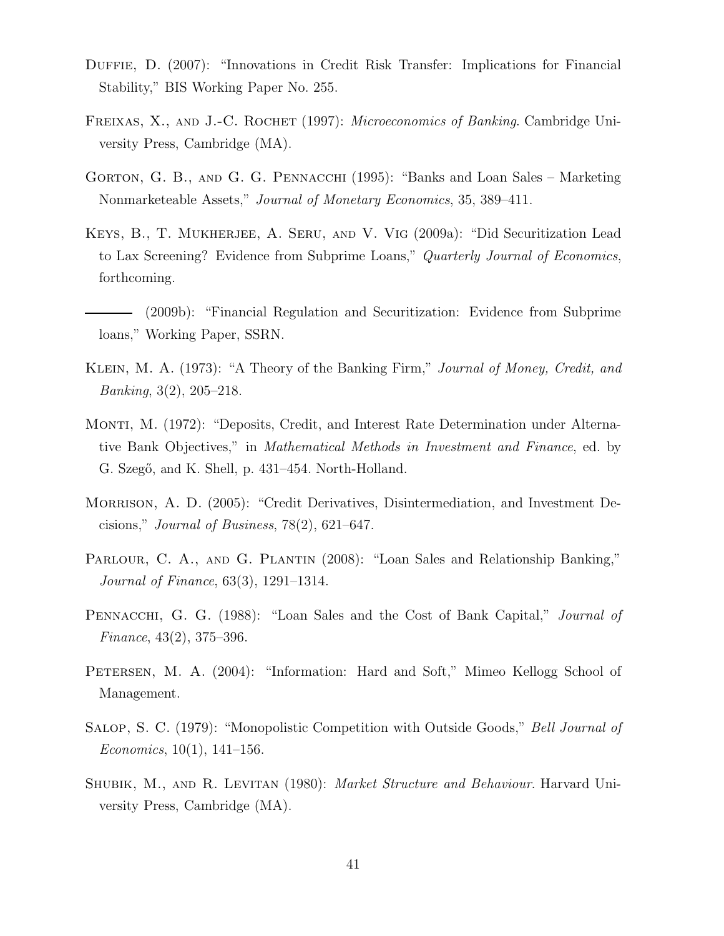- Duffie, D. (2007): "Innovations in Credit Risk Transfer: Implications for Financial Stability," BIS Working Paper No. 255.
- FREIXAS, X., AND J.-C. ROCHET (1997): *Microeconomics of Banking*. Cambridge University Press, Cambridge (MA).
- GORTON, G. B., AND G. G. PENNACCHI (1995): "Banks and Loan Sales Marketing Nonmarketeable Assets," Journal of Monetary Economics, 35, 389–411.
- KEYS, B., T. MUKHERJEE, A. SERU, AND V. VIG (2009a): "Did Securitization Lead to Lax Screening? Evidence from Subprime Loans," Quarterly Journal of Economics, forthcoming.
- (2009b): "Financial Regulation and Securitization: Evidence from Subprime loans," Working Paper, SSRN.
- Klein, M. A. (1973): "A Theory of the Banking Firm," Journal of Money, Credit, and Banking, 3(2), 205–218.
- Monti, M. (1972): "Deposits, Credit, and Interest Rate Determination under Alternative Bank Objectives," in Mathematical Methods in Investment and Finance, ed. by G. Szegő, and K. Shell, p. 431–454. North-Holland.
- MORRISON, A. D. (2005): "Credit Derivatives, Disintermediation, and Investment Decisions," *Journal of Business*,  $78(2)$ ,  $621-647$ .
- PARLOUR, C. A., AND G. PLANTIN (2008): "Loan Sales and Relationship Banking," Journal of Finance, 63(3), 1291–1314.
- PENNACCHI, G. G. (1988): "Loan Sales and the Cost of Bank Capital," *Journal of* Finance, 43(2), 375–396.
- PETERSEN, M. A. (2004): "Information: Hard and Soft," Mimeo Kellogg School of Management.
- Salop, S. C. (1979): "Monopolistic Competition with Outside Goods," Bell Journal of Economics,  $10(1)$ ,  $141-156$ .
- SHUBIK, M., AND R. LEVITAN (1980): *Market Structure and Behaviour*. Harvard University Press, Cambridge (MA).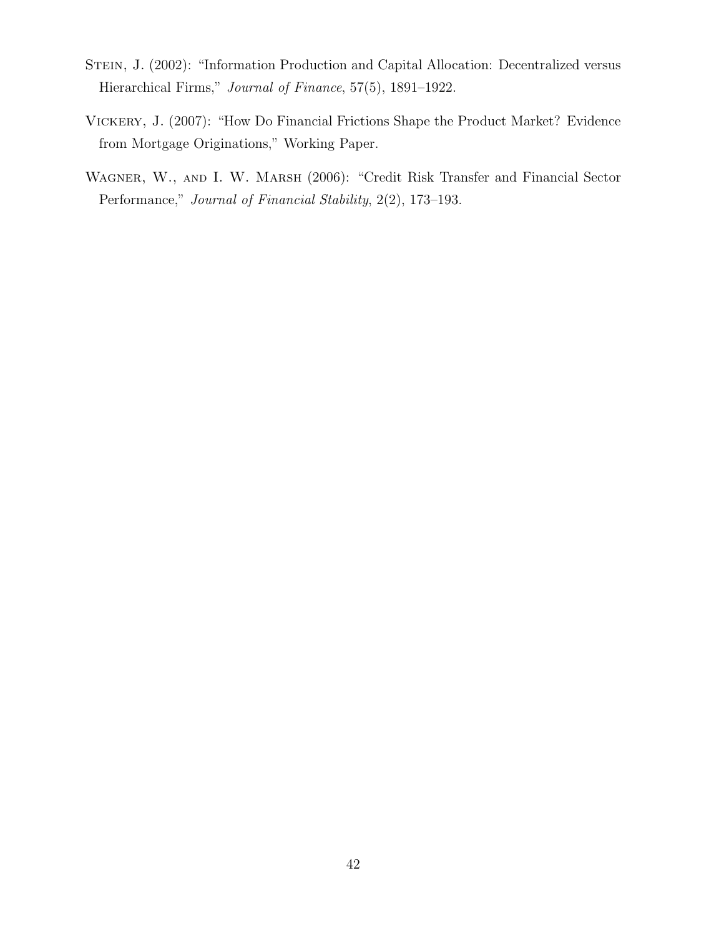- STEIN, J. (2002): "Information Production and Capital Allocation: Decentralized versus Hierarchical Firms," Journal of Finance, 57(5), 1891–1922.
- Vickery, J. (2007): "How Do Financial Frictions Shape the Product Market? Evidence from Mortgage Originations," Working Paper.
- WAGNER, W., AND I. W. MARSH (2006): "Credit Risk Transfer and Financial Sector Performance," Journal of Financial Stability, 2(2), 173–193.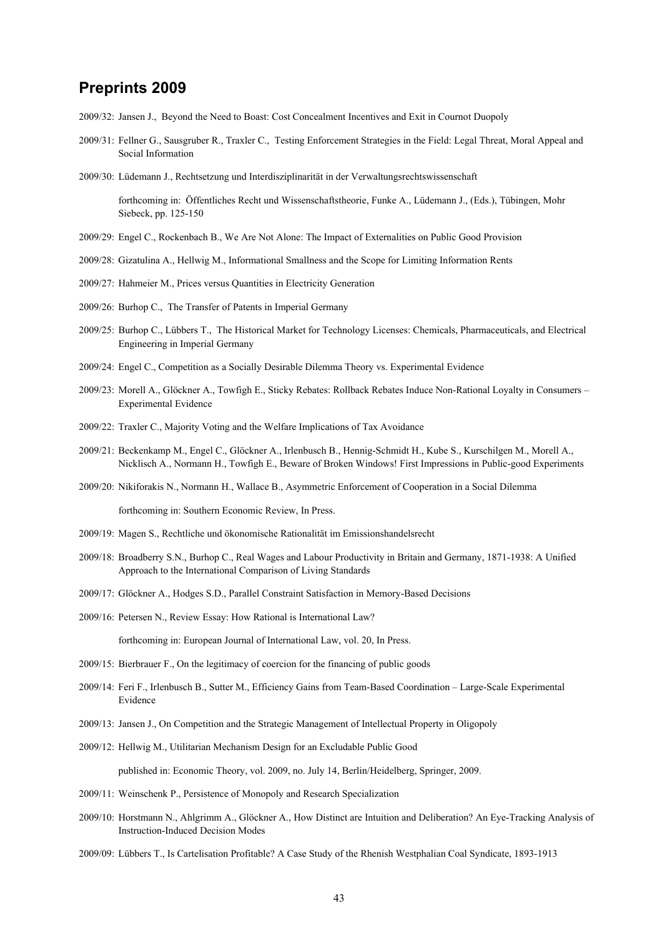### **Preprints 2009**

- 2009/32: Jansen J., Beyond the Need to Boast: Cost Concealment Incentives and Exit in Cournot Duopoly
- 2009/31: Fellner G., Sausgruber R., Traxler C., Testing Enforcement Strategies in the Field: Legal Threat, Moral Appeal and Social Information
- 2009/30: Lüdemann J., Rechtsetzung und Interdisziplinarität in der Verwaltungsrechtswissenschaft

 forthcoming in: Öffentliches Recht und Wissenschaftstheorie, Funke A., Lüdemann J., (Eds.), Tübingen, Mohr Siebeck, pp. 125-150

- 2009/29: Engel C., Rockenbach B., We Are Not Alone: The Impact of Externalities on Public Good Provision
- 2009/28: Gizatulina A., Hellwig M., Informational Smallness and the Scope for Limiting Information Rents
- 2009/27: Hahmeier M., Prices versus Quantities in Electricity Generation
- 2009/26: Burhop C., The Transfer of Patents in Imperial Germany
- 2009/25: Burhop C., Lübbers T., The Historical Market for Technology Licenses: Chemicals, Pharmaceuticals, and Electrical Engineering in Imperial Germany
- 2009/24: Engel C., Competition as a Socially Desirable Dilemma Theory vs. Experimental Evidence
- 2009/23: Morell A., Glöckner A., Towfigh E., Sticky Rebates: Rollback Rebates Induce Non-Rational Loyalty in Consumers Experimental Evidence
- 2009/22: Traxler C., Majority Voting and the Welfare Implications of Tax Avoidance
- 2009/21: Beckenkamp M., Engel C., Glöckner A., Irlenbusch B., Hennig-Schmidt H., Kube S., Kurschilgen M., Morell A., Nicklisch A., Normann H., Towfigh E., Beware of Broken Windows! First Impressions in Public-good Experiments
- 2009/20: Nikiforakis N., Normann H., Wallace B., Asymmetric Enforcement of Cooperation in a Social Dilemma

forthcoming in: Southern Economic Review, In Press.

- 2009/19: Magen S., Rechtliche und ökonomische Rationalität im Emissionshandelsrecht
- 2009/18: Broadberry S.N., Burhop C., Real Wages and Labour Productivity in Britain and Germany, 1871-1938: A Unified Approach to the International Comparison of Living Standards
- 2009/17: Glöckner A., Hodges S.D., Parallel Constraint Satisfaction in Memory-Based Decisions
- 2009/16: Petersen N., Review Essay: How Rational is International Law?

forthcoming in: European Journal of International Law, vol. 20, In Press.

- 2009/15: Bierbrauer F., On the legitimacy of coercion for the financing of public goods
- 2009/14: Feri F., Irlenbusch B., Sutter M., Efficiency Gains from Team-Based Coordination Large-Scale Experimental Evidence
- 2009/13: Jansen J., On Competition and the Strategic Management of Intellectual Property in Oligopoly
- 2009/12: Hellwig M., Utilitarian Mechanism Design for an Excludable Public Good

published in: Economic Theory, vol. 2009, no. July 14, Berlin/Heidelberg, Springer, 2009.

- 2009/11: Weinschenk P., Persistence of Monopoly and Research Specialization
- 2009/10: Horstmann N., Ahlgrimm A., Glöckner A., How Distinct are Intuition and Deliberation? An Eye-Tracking Analysis of Instruction-Induced Decision Modes
- 2009/09: Lübbers T., Is Cartelisation Profitable? A Case Study of the Rhenish Westphalian Coal Syndicate, 1893-1913